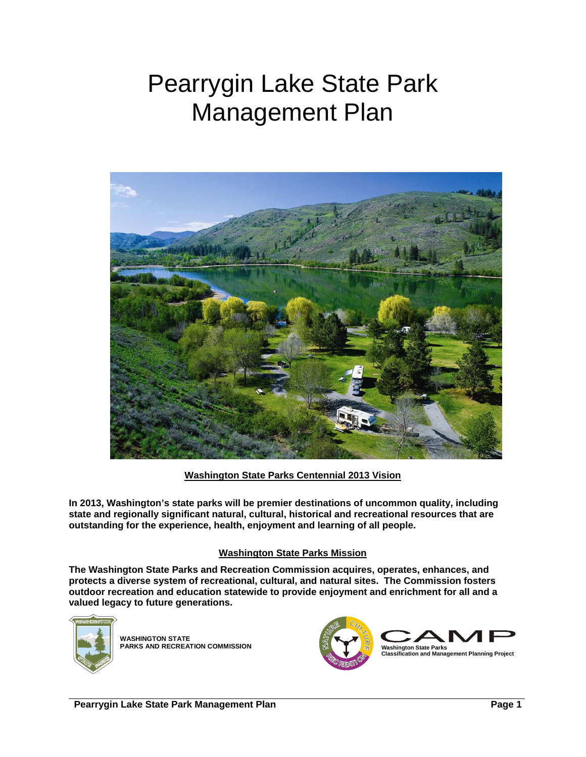# Pearrygin Lake State Park Management Plan



**Washington State Parks Centennial 2013 Vision**

**In 2013, Washington's state parks will be premier destinations of uncommon quality, including state and regionally significant natural, cultural, historical and recreational resources that are outstanding for the experience, health, enjoyment and learning of all people.** 

### **Washington State Parks Mission**

**The Washington State Parks and Recreation Commission acquires, operates, enhances, and protects a diverse system of recreational, cultural, and natural sites. The Commission fosters outdoor recreation and education statewide to provide enjoyment and enrichment for all and a valued legacy to future generations.** 



**WASHINGTON STATE PARKS AND RECREATION COMMISSION**

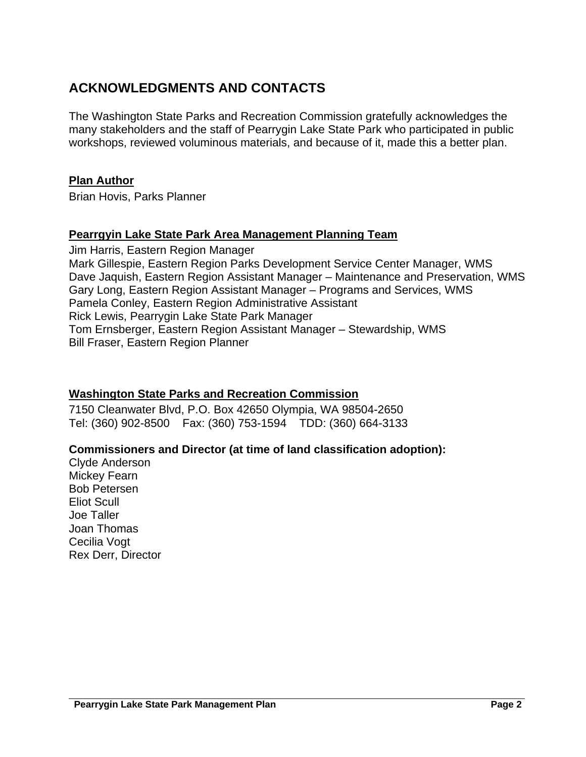# <span id="page-1-0"></span>**ACKNOWLEDGMENTS AND CONTACTS**

The Washington State Parks and Recreation Commission gratefully acknowledges the many stakeholders and the staff of Pearrygin Lake State Park who participated in public workshops, reviewed voluminous materials, and because of it, made this a better plan.

### **Plan Author**

Brian Hovis, Parks Planner

### **Pearrgyin Lake State Park Area Management Planning Team**

Jim Harris, Eastern Region Manager Mark Gillespie, Eastern Region Parks Development Service Center Manager, WMS Dave Jaquish, Eastern Region Assistant Manager – Maintenance and Preservation, WMS Gary Long, Eastern Region Assistant Manager – Programs and Services, WMS Pamela Conley, Eastern Region Administrative Assistant Rick Lewis, Pearrygin Lake State Park Manager Tom Ernsberger, Eastern Region Assistant Manager – Stewardship, WMS Bill Fraser, Eastern Region Planner

# **Washington State Parks and Recreation Commission**

7150 Cleanwater Blvd, P.O. Box 42650 Olympia, WA 98504-2650 Tel: (360) 902-8500 Fax: (360) 753-1594 TDD: (360) 664-3133

# **Commissioners and Director (at time of land classification adoption):**

Clyde Anderson Mickey Fearn Bob Petersen Eliot Scull Joe Taller Joan Thomas Cecilia Vogt Rex Derr, Director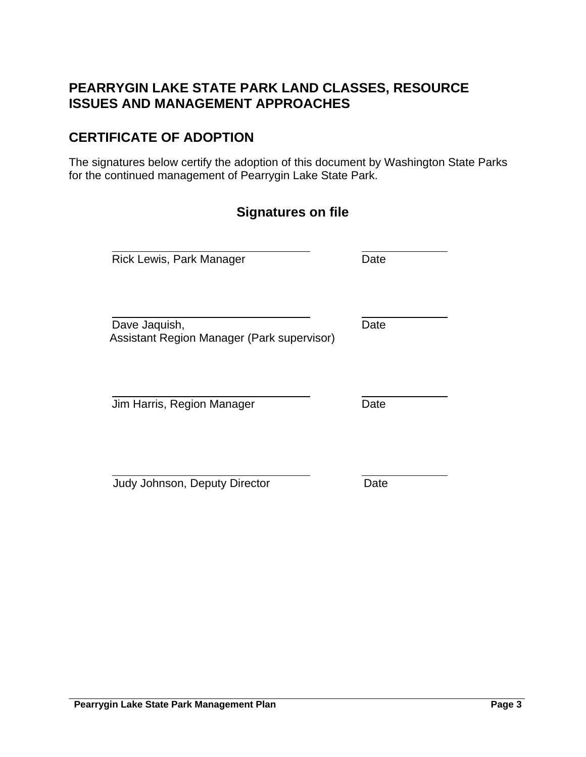# <span id="page-2-0"></span>**PEARRYGIN LAKE STATE PARK LAND CLASSES, RESOURCE ISSUES AND MANAGEMENT APPROACHES**

# **CERTIFICATE OF ADOPTION**

The signatures below certify the adoption of this document by Washington State Parks for the continued management of Pearrygin Lake State Park.

| <b>Signatures on file</b>                                   |      |
|-------------------------------------------------------------|------|
| Rick Lewis, Park Manager                                    | Date |
| Dave Jaquish,<br>Assistant Region Manager (Park supervisor) | Date |
| Jim Harris, Region Manager                                  | Date |
| Judy Johnson, Deputy Director                               | Date |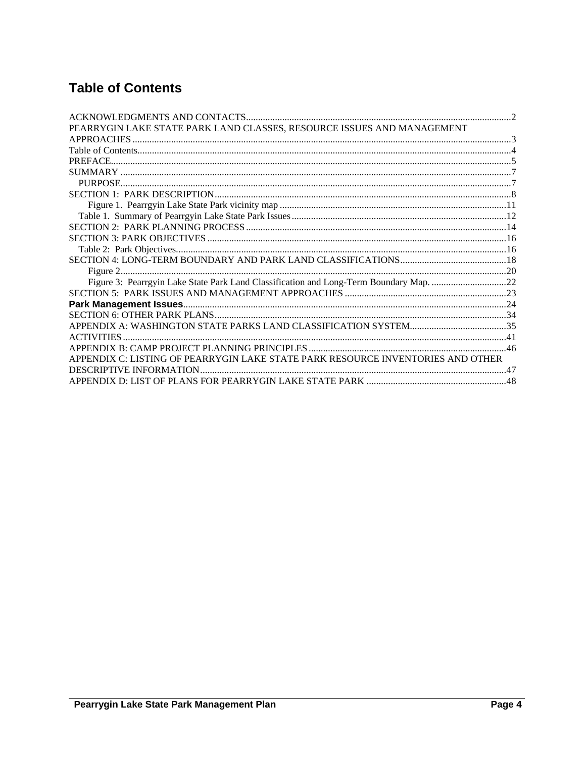# <span id="page-3-0"></span>**Table of Contents**

| PEARRYGIN LAKE STATE PARK LAND CLASSES, RESOURCE ISSUES AND MANAGEMENT                 |  |
|----------------------------------------------------------------------------------------|--|
|                                                                                        |  |
|                                                                                        |  |
|                                                                                        |  |
|                                                                                        |  |
|                                                                                        |  |
|                                                                                        |  |
|                                                                                        |  |
|                                                                                        |  |
|                                                                                        |  |
|                                                                                        |  |
|                                                                                        |  |
|                                                                                        |  |
|                                                                                        |  |
| Figure 3: Pearrgyin Lake State Park Land Classification and Long-Term Boundary Map. 22 |  |
|                                                                                        |  |
|                                                                                        |  |
|                                                                                        |  |
|                                                                                        |  |
|                                                                                        |  |
|                                                                                        |  |
| APPENDIX C: LISTING OF PEARRYGIN LAKE STATE PARK RESOURCE INVENTORIES AND OTHER        |  |
| DESCRIPTIVE INFORMATION                                                                |  |
|                                                                                        |  |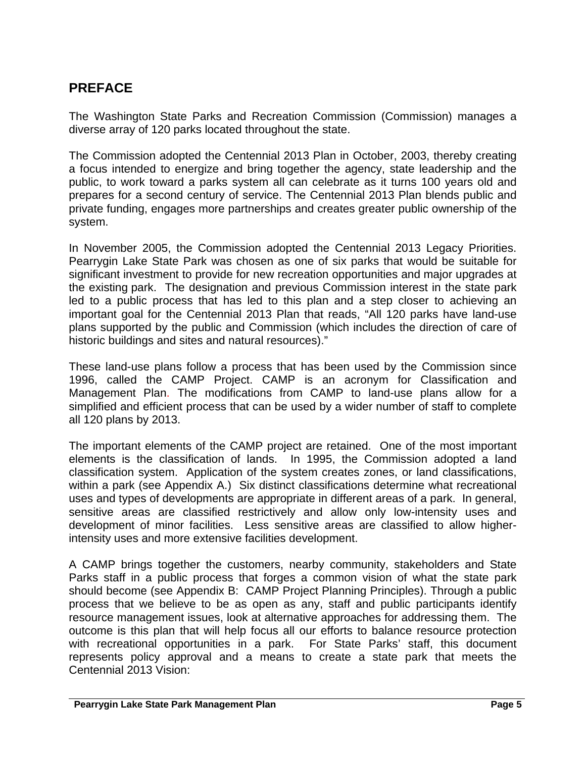# <span id="page-4-0"></span>**PREFACE**

The Washington State Parks and Recreation Commission (Commission) manages a diverse array of 120 parks located throughout the state.

The Commission adopted the Centennial 2013 Plan in October, 2003, thereby creating a focus intended to energize and bring together the agency, state leadership and the public, to work toward a parks system all can celebrate as it turns 100 years old and prepares for a second century of service. The Centennial 2013 Plan blends public and private funding, engages more partnerships and creates greater public ownership of the system.

In November 2005, the Commission adopted the Centennial 2013 Legacy Priorities. Pearrygin Lake State Park was chosen as one of six parks that would be suitable for significant investment to provide for new recreation opportunities and major upgrades at the existing park. The designation and previous Commission interest in the state park led to a public process that has led to this plan and a step closer to achieving an important goal for the Centennial 2013 Plan that reads, "All 120 parks have land-use plans supported by the public and Commission (which includes the direction of care of historic buildings and sites and natural resources)."

These land-use plans follow a process that has been used by the Commission since 1996, called the CAMP Project. CAMP is an acronym for Classification and Management Plan. The modifications from CAMP to land-use plans allow for a simplified and efficient process that can be used by a wider number of staff to complete all 120 plans by 2013.

The important elements of the CAMP project are retained. One of the most important elements is the classification of lands. In 1995, the Commission adopted a land classification system. Application of the system creates zones, or land classifications, within a park (see Appendix A.) Six distinct classifications determine what recreational uses and types of developments are appropriate in different areas of a park. In general, sensitive areas are classified restrictively and allow only low-intensity uses and development of minor facilities. Less sensitive areas are classified to allow higherintensity uses and more extensive facilities development.

A CAMP brings together the customers, nearby community, stakeholders and State Parks staff in a public process that forges a common vision of what the state park should become (see Appendix B: CAMP Project Planning Principles). Through a public process that we believe to be as open as any, staff and public participants identify resource management issues, look at alternative approaches for addressing them. The outcome is this plan that will help focus all our efforts to balance resource protection with recreational opportunities in a park. For State Parks' staff, this document represents policy approval and a means to create a state park that meets the Centennial 2013 Vision: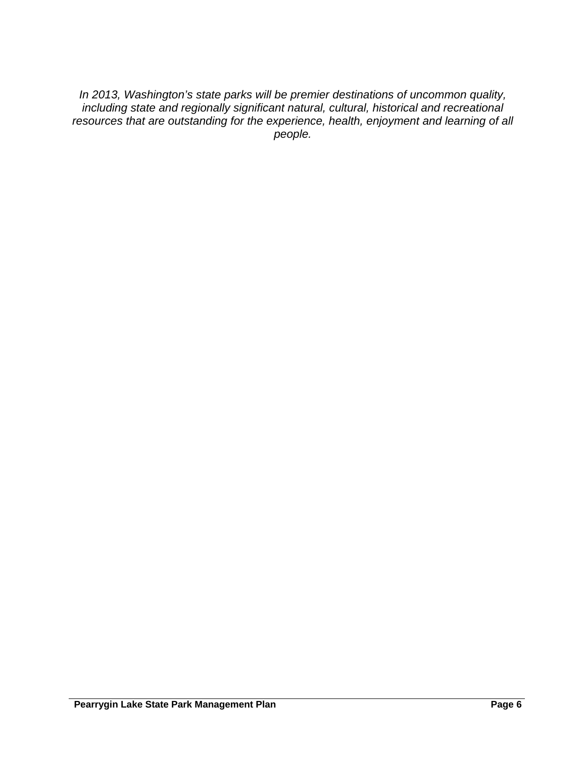*In 2013, Washington's state parks will be premier destinations of uncommon quality, including state and regionally significant natural, cultural, historical and recreational resources that are outstanding for the experience, health, enjoyment and learning of all people.*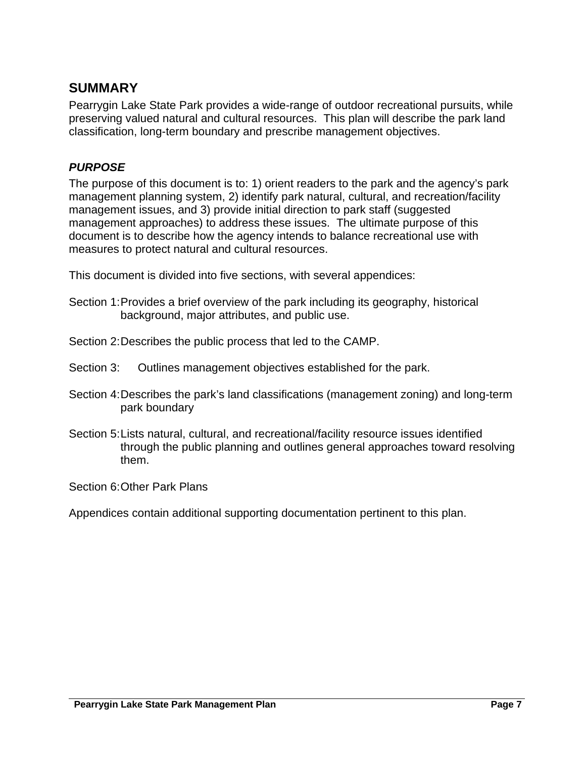# <span id="page-6-0"></span>**SUMMARY**

Pearrygin Lake State Park provides a wide-range of outdoor recreational pursuits, while preserving valued natural and cultural resources. This plan will describe the park land classification, long-term boundary and prescribe management objectives.

### *PURPOSE*

The purpose of this document is to: 1) orient readers to the park and the agency's park management planning system, 2) identify park natural, cultural, and recreation/facility management issues, and 3) provide initial direction to park staff (suggested management approaches) to address these issues. The ultimate purpose of this document is to describe how the agency intends to balance recreational use with measures to protect natural and cultural resources.

This document is divided into five sections, with several appendices:

- Section 1: Provides a brief overview of the park including its geography, historical background, major attributes, and public use.
- Section 2: Describes the public process that led to the CAMP.
- Section 3: Outlines management objectives established for the park.
- Section 4: Describes the park's land classifications (management zoning) and long-term park boundary
- Section 5: Lists natural, cultural, and recreational/facility resource issues identified through the public planning and outlines general approaches toward resolving them.

Section 6: Other Park Plans

Appendices contain additional supporting documentation pertinent to this plan.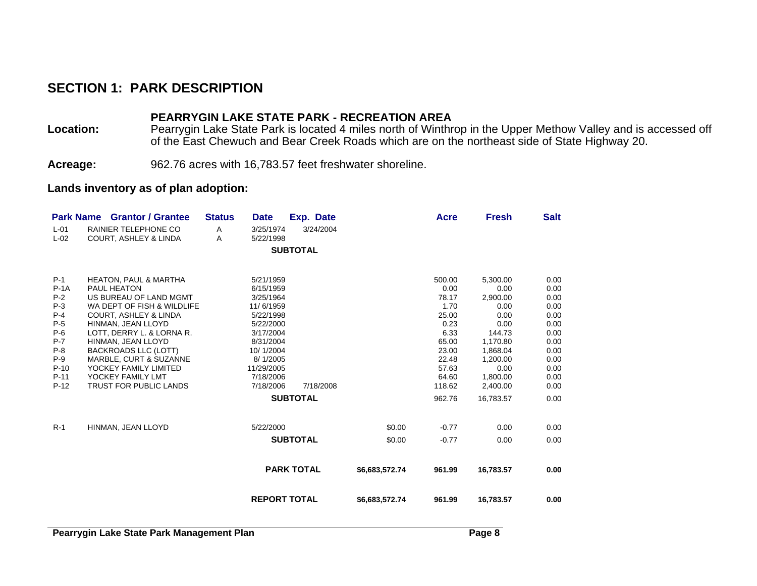# **SECTION 1: PARK DESCRIPTION**

### **PEARRYGIN LAKE STATE PARK - RECREATION AREA**

Location: Pearrygin Lake State Park is located 4 miles north of Winthrop in the Upper Methow Valley and is accessed off of the East Chewuch and Bear Creek Roads which are on the northeast side of State Highway 20.

**Acreage:** 962.76 acres with 16,783.57 feet freshwater shoreline.

#### **Lands inventory as of plan adoption:**

<span id="page-7-0"></span>

|                  | <b>Park Name Grantor / Grantee</b>                              | <b>Status</b> | <b>Date</b>            |                   | Exp. Date |                | Acre          | <b>Fresh</b> | <b>Salt</b>  |
|------------------|-----------------------------------------------------------------|---------------|------------------------|-------------------|-----------|----------------|---------------|--------------|--------------|
| $L-01$<br>$L-02$ | <b>RAINIER TELEPHONE CO</b><br><b>COURT, ASHLEY &amp; LINDA</b> | Α<br>A        | 3/25/1974<br>5/22/1998 |                   | 3/24/2004 |                |               |              |              |
|                  |                                                                 |               |                        | <b>SUBTOTAL</b>   |           |                |               |              |              |
|                  |                                                                 |               |                        |                   |           |                |               |              |              |
| $P-1$            | <b>HEATON, PAUL &amp; MARTHA</b>                                |               | 5/21/1959              |                   |           |                | 500.00        | 5,300.00     | 0.00         |
| $P-1A$           | <b>PAUL HEATON</b>                                              |               | 6/15/1959              |                   |           |                | 0.00          | 0.00         | 0.00         |
| $P-2$            | US BUREAU OF LAND MGMT                                          |               | 3/25/1964              |                   |           |                | 78.17         | 2,900.00     | 0.00         |
| $P-3$            | WA DEPT OF FISH & WILDLIFE                                      |               | 11/6/1959              |                   |           |                | 1.70          | 0.00         | 0.00         |
| $P-4$<br>$P-5$   | <b>COURT. ASHLEY &amp; LINDA</b><br>HINMAN, JEAN LLOYD          |               | 5/22/1998<br>5/22/2000 |                   |           |                | 25.00<br>0.23 | 0.00<br>0.00 | 0.00<br>0.00 |
| $P-6$            | LOTT, DERRY L. & LORNA R.                                       |               | 3/17/2004              |                   |           |                | 6.33          | 144.73       | 0.00         |
| $P-7$            | HINMAN, JEAN LLOYD                                              |               | 8/31/2004              |                   |           |                | 65.00         | 1,170.80     | 0.00         |
| $P-8$            | <b>BACKROADS LLC (LOTT)</b>                                     |               | 10/1/2004              |                   |           |                | 23.00         | 1,868.04     | 0.00         |
| $P-9$            | MARBLE, CURT & SUZANNE                                          |               | 8/1/2005               |                   |           |                | 22.48         | 1,200.00     | 0.00         |
| $P-10$           | YOCKEY FAMILY LIMITED                                           |               | 11/29/2005             |                   |           |                | 57.63         | 0.00         | 0.00         |
| $P-11$           | YOCKEY FAMILY LMT                                               |               | 7/18/2006              |                   |           |                | 64.60         | 1,800.00     | 0.00         |
| $P-12$           | TRUST FOR PUBLIC LANDS                                          |               | 7/18/2006              |                   | 7/18/2008 |                | 118.62        | 2.400.00     | 0.00         |
|                  |                                                                 |               |                        | <b>SUBTOTAL</b>   |           |                | 962.76        | 16,783.57    | 0.00         |
|                  |                                                                 |               |                        |                   |           |                |               |              |              |
| $R-1$            | HINMAN, JEAN LLOYD                                              |               | 5/22/2000              |                   |           | \$0.00         | $-0.77$       | 0.00         | 0.00         |
|                  |                                                                 |               |                        | <b>SUBTOTAL</b>   |           | \$0.00         | $-0.77$       | 0.00         | 0.00         |
|                  |                                                                 |               |                        | <b>PARK TOTAL</b> |           | \$6,683,572.74 | 961.99        | 16,783.57    | 0.00         |
|                  |                                                                 |               |                        |                   |           |                |               |              |              |
|                  |                                                                 |               | <b>REPORT TOTAL</b>    |                   |           | \$6,683,572.74 | 961.99        | 16,783.57    | 0.00         |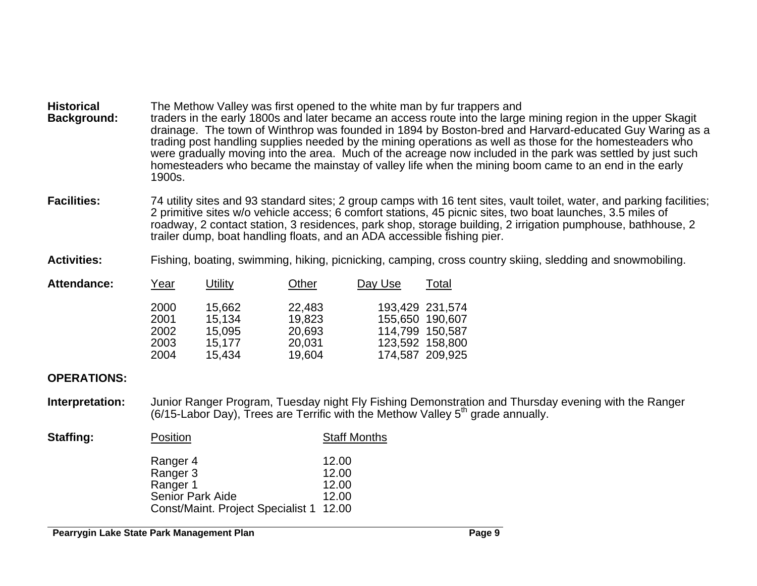| <b>Historical</b><br><b>Background:</b> | The Methow Valley was first opened to the white man by fur trappers and<br>traders in the early 1800s and later became an access route into the large mining region in the upper Skagit<br>drainage. The town of Winthrop was founded in 1894 by Boston-bred and Harvard-educated Guy Waring as a<br>trading post handling supplies needed by the mining operations as well as those for the homesteaders who<br>were gradually moving into the area. Much of the acreage now included in the park was settled by just such<br>homesteaders who became the mainstay of valley life when the mining boom came to an end in the early<br>1900s. |  |
|-----------------------------------------|-----------------------------------------------------------------------------------------------------------------------------------------------------------------------------------------------------------------------------------------------------------------------------------------------------------------------------------------------------------------------------------------------------------------------------------------------------------------------------------------------------------------------------------------------------------------------------------------------------------------------------------------------|--|
|                                         |                                                                                                                                                                                                                                                                                                                                                                                                                                                                                                                                                                                                                                               |  |

Facilities: 74 utility sites and 93 standard sites; 2 group camps with 16 tent sites, vault toilet, water, and parking facilities; 2 primitive sites w/o vehicle access; 6 comfort stations, 45 picnic sites, two boat launches, 3.5 miles of roadway, 2 contact station, 3 residences, park shop, storage building, 2 irrigation pumphouse, bathhouse, 2 trailer dump, boat handling floats, and an ADA accessible fishing pier.

**Activities:** Fishing, boating, swimming, hiking, picnicking, camping, cross country skiing, sledding and snowmobiling.

| <b>Attendance:</b> | Year | Utility | Other  | Day Use         | Total           |
|--------------------|------|---------|--------|-----------------|-----------------|
|                    | 2000 | 15,662  | 22,483 |                 | 193,429 231,574 |
|                    | 2001 | 15,134  | 19,823 |                 | 155,650 190,607 |
|                    | 2002 | 15,095  | 20,693 | 114,799 150,587 |                 |
|                    | 2003 | 15.177  | 20,031 |                 | 123,592 158,800 |
|                    | 2004 | 15,434  | 19,604 |                 | 174,587 209,925 |

### **OPERATIONS:**

**Interpretation:** Junior Ranger Program, Tuesday night Fly Fishing Demonstration and Thursday evening with the Ranger (6/15-Labor Day), Trees are Terrific with the Methow Valley 5<sup>th</sup> grade annually.

| <b>Staffing:</b> | Position                                | <b>Staff Months</b> |  |  |
|------------------|-----------------------------------------|---------------------|--|--|
|                  | Ranger 4                                | 12.00               |  |  |
|                  | Ranger 3                                | 12.00               |  |  |
|                  | Ranger 1                                | 12.00               |  |  |
|                  | <b>Senior Park Aide</b>                 | 12.00               |  |  |
|                  | Const/Maint. Project Specialist 1 12.00 |                     |  |  |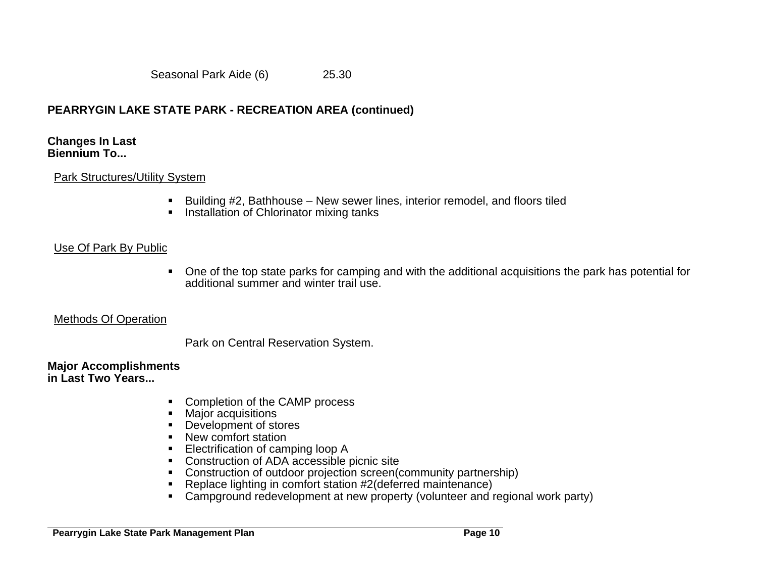Seasonal Park Aide (6) 25.30

# **PEARRYGIN LAKE STATE PARK - RECREATION AREA (continued)**

#### **Changes In Last Biennium To...**

### Park Structures/Utility System

- Building #2, Bathhouse New sewer lines, interior remodel, and floors tiled
- **Installation of Chlorinator mixing tanks**

# Use Of Park By Public

 One of the top state parks for camping and with the additional acquisitions the park has potential for additional summer and winter trail use.

### Methods Of Operation

Park on Central Reservation System.

#### **Major Accomplishments in Last Two Years...**

- Completion of the CAMP process
- **Major acquisitions**
- Development of stores
- New comfort station
- **Electrification of camping loop A**
- Construction of ADA accessible picnic site
- Construction of outdoor projection screen(community partnership)
- Replace lighting in comfort station #2(deferred maintenance)
- Campground redevelopment at new property (volunteer and regional work party)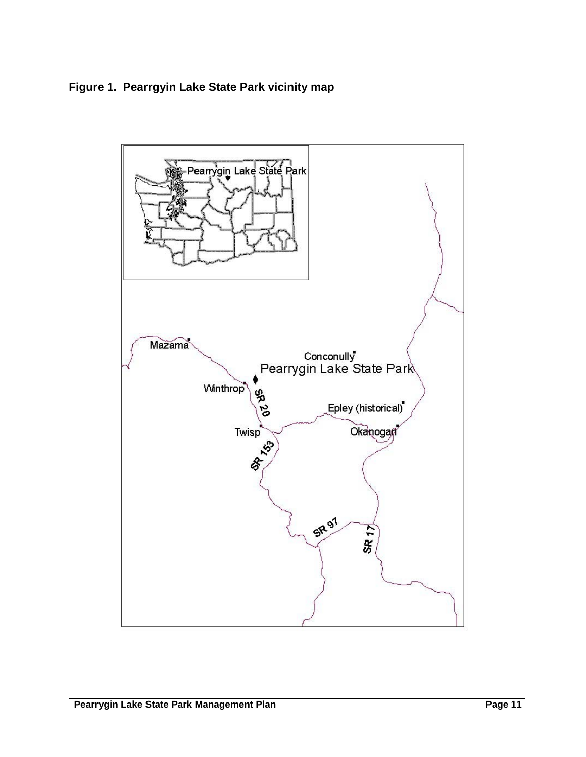<span id="page-10-0"></span>**Figure 1. Pearrgyin Lake State Park vicinity map** 

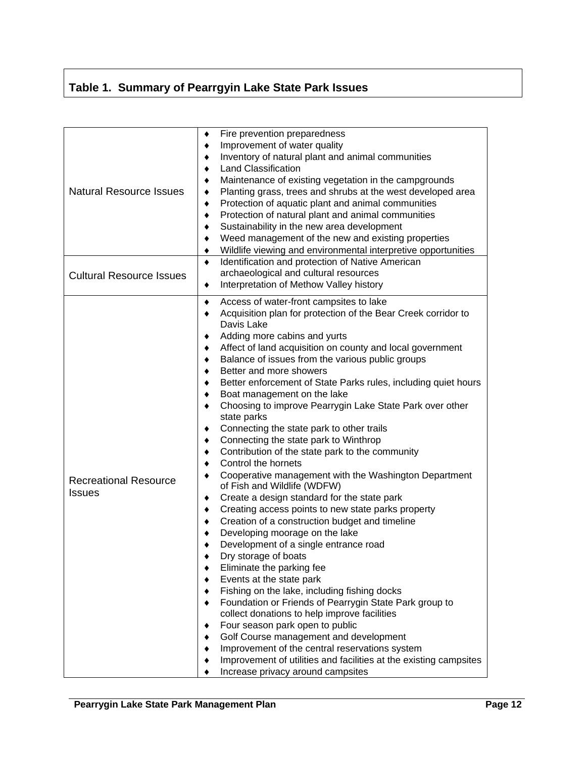# <span id="page-11-0"></span>**Table 1. Summary of Pearrgyin Lake State Park Issues**

| <b>Natural Resource Issues</b><br><b>Cultural Resource Issues</b> | Fire prevention preparedness<br>٠<br>Improvement of water quality<br>٠<br>Inventory of natural plant and animal communities<br>٠<br><b>Land Classification</b><br>٠<br>Maintenance of existing vegetation in the campgrounds<br>٠<br>Planting grass, trees and shrubs at the west developed area<br>٠<br>Protection of aquatic plant and animal communities<br>٠<br>Protection of natural plant and animal communities<br>٠<br>Sustainability in the new area development<br>٠<br>Weed management of the new and existing properties<br>٠<br>Wildlife viewing and environmental interpretive opportunities<br>$\bullet$<br>Identification and protection of Native American<br>$\bullet$<br>archaeological and cultural resources                                                                                                                                                                                                                                                                                                                                                                                                                                                                                                                                                                                                                                                                                                                                                                                                                      |
|-------------------------------------------------------------------|--------------------------------------------------------------------------------------------------------------------------------------------------------------------------------------------------------------------------------------------------------------------------------------------------------------------------------------------------------------------------------------------------------------------------------------------------------------------------------------------------------------------------------------------------------------------------------------------------------------------------------------------------------------------------------------------------------------------------------------------------------------------------------------------------------------------------------------------------------------------------------------------------------------------------------------------------------------------------------------------------------------------------------------------------------------------------------------------------------------------------------------------------------------------------------------------------------------------------------------------------------------------------------------------------------------------------------------------------------------------------------------------------------------------------------------------------------------------------------------------------------------------------------------------------------|
|                                                                   | Interpretation of Methow Valley history<br>٠                                                                                                                                                                                                                                                                                                                                                                                                                                                                                                                                                                                                                                                                                                                                                                                                                                                                                                                                                                                                                                                                                                                                                                                                                                                                                                                                                                                                                                                                                                           |
| <b>Recreational Resource</b><br><b>Issues</b>                     | Access of water-front campsites to lake<br>٠<br>Acquisition plan for protection of the Bear Creek corridor to<br>٠<br>Davis Lake<br>Adding more cabins and yurts<br>٠<br>Affect of land acquisition on county and local government<br>٠<br>Balance of issues from the various public groups<br>٠<br>Better and more showers<br>٠<br>Better enforcement of State Parks rules, including quiet hours<br>٠<br>Boat management on the lake<br>٠<br>Choosing to improve Pearrygin Lake State Park over other<br>٠<br>state parks<br>Connecting the state park to other trails<br>٠<br>Connecting the state park to Winthrop<br>٠<br>Contribution of the state park to the community<br>٠<br>Control the hornets<br>٠<br>Cooperative management with the Washington Department<br>٠<br>of Fish and Wildlife (WDFW)<br>Create a design standard for the state park<br>٠<br>Creating access points to new state parks property<br>٠<br>Creation of a construction budget and timeline<br>٠<br>Developing moorage on the lake<br>٠<br>Development of a single entrance road<br>Dry storage of boats<br>Eliminate the parking fee<br>Events at the state park<br>Fishing on the lake, including fishing docks<br>Foundation or Friends of Pearrygin State Park group to<br>collect donations to help improve facilities<br>Four season park open to public<br>Golf Course management and development<br>Improvement of the central reservations system<br>Improvement of utilities and facilities at the existing campsites<br>Increase privacy around campsites |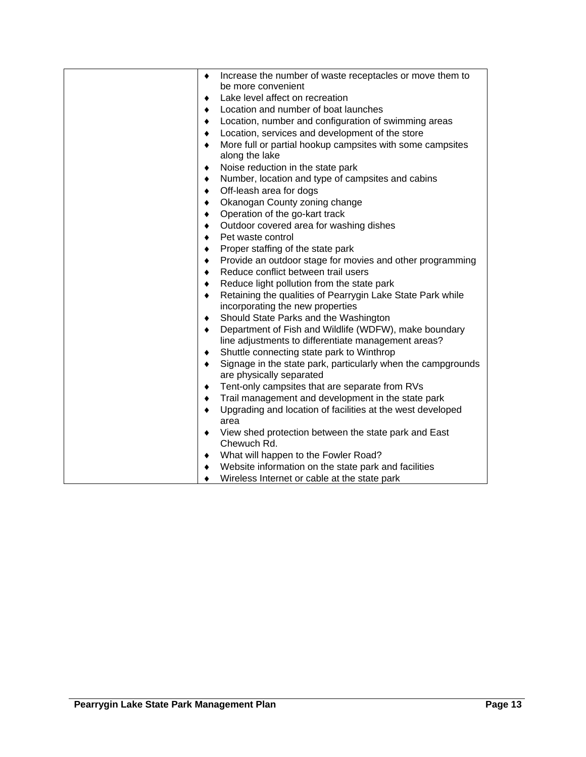| Increase the number of waste receptacles or move them to<br>٠           |
|-------------------------------------------------------------------------|
| be more convenient                                                      |
| Lake level affect on recreation<br>٠                                    |
| Location and number of boat launches<br>٠                               |
| Location, number and configuration of swimming areas<br>٠               |
| Location, services and development of the store<br>$\bullet$            |
| More full or partial hookup campsites with some campsites<br>$\bullet$  |
| along the lake                                                          |
| Noise reduction in the state park<br>٠                                  |
| Number, location and type of campsites and cabins<br>٠                  |
| Off-leash area for dogs<br>$\bullet$                                    |
| Okanogan County zoning change<br>٠                                      |
| Operation of the go-kart track<br>٠                                     |
| Outdoor covered area for washing dishes<br>٠                            |
| Pet waste control<br>٠                                                  |
| Proper staffing of the state park<br>٠                                  |
| Provide an outdoor stage for movies and other programming<br>٠          |
| Reduce conflict between trail users<br>٠                                |
| Reduce light pollution from the state park<br>٠                         |
| Retaining the qualities of Pearrygin Lake State Park while<br>٠         |
| incorporating the new properties                                        |
| Should State Parks and the Washington<br>٠                              |
| Department of Fish and Wildlife (WDFW), make boundary<br>$\bullet$      |
| line adjustments to differentiate management areas?                     |
| Shuttle connecting state park to Winthrop<br>٠                          |
| Signage in the state park, particularly when the campgrounds<br>٠       |
| are physically separated                                                |
| Tent-only campsites that are separate from RVs<br>٠                     |
| Trail management and development in the state park<br>٠                 |
| Upgrading and location of facilities at the west developed<br>$\bullet$ |
| area                                                                    |
| View shed protection between the state park and East<br>٠               |
| Chewuch Rd.                                                             |
| What will happen to the Fowler Road?<br>٠                               |
| Website information on the state park and facilities<br>٠               |
| Wireless Internet or cable at the state park<br>٠                       |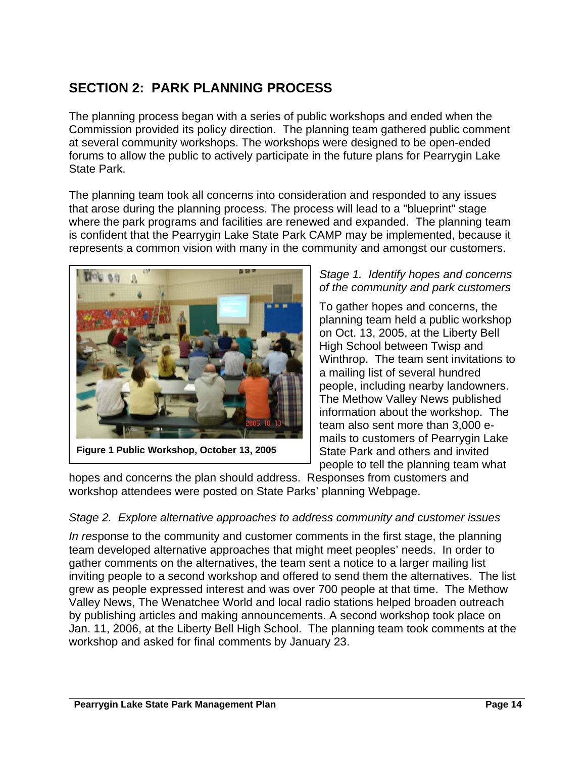# <span id="page-13-0"></span>**SECTION 2: PARK PLANNING PROCESS**

The planning process began with a series of public workshops and ended when the Commission provided its policy direction. The planning team gathered public comment at several community workshops. The workshops were designed to be open-ended forums to allow the public to actively participate in the future plans for Pearrygin Lake State Park.

The planning team took all concerns into consideration and responded to any issues that arose during the planning process. The process will lead to a "blueprint" stage where the park programs and facilities are renewed and expanded. The planning team is confident that the Pearrygin Lake State Park CAMP may be implemented, because it represents a common vision with many in the community and amongst our customers.



# *Stage 1. Identify hopes and concerns of the community and park customers*

To gather hopes and concerns, the planning team held a public workshop on Oct. 13, 2005, at the Liberty Bell High School between Twisp and Winthrop. The team sent invitations to a mailing list of several hundred people, including nearby landowners. The Methow Valley News published information about the workshop. The team also sent more than 3,000 emails to customers of Pearrygin Lake State Park and others and invited people to tell the planning team what

hopes and concerns the plan should address. Responses from customers and workshop attendees were posted on State Parks' planning Webpage.

# *Stage 2. Explore alternative approaches to address community and customer issues*

*In res*ponse to the community and customer comments in the first stage, the planning team developed alternative approaches that might meet peoples' needs. In order to gather comments on the alternatives, the team sent a notice to a larger mailing list inviting people to a second workshop and offered to send them the alternatives. The list grew as people expressed interest and was over 700 people at that time. The Methow Valley News, The Wenatchee World and local radio stations helped broaden outreach by publishing articles and making announcements. A second workshop took place on Jan. 11, 2006, at the Liberty Bell High School. The planning team took comments at the workshop and asked for final comments by January 23.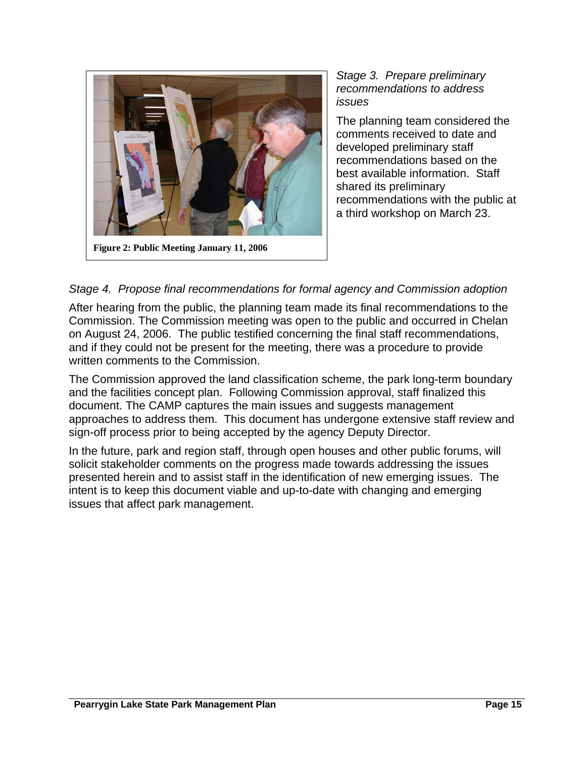

**Figure 2: Public Meeting January 11, 2006** 

### *Stage 3. Prepare preliminary recommendations to address issues*

The planning team considered the comments received to date and developed preliminary staff recommendations based on the best available information. Staff shared its preliminary recommendations with the public at a third workshop on March 23.

# *Stage 4. Propose final recommendations for formal agency and Commission adoption*

After hearing from the public, the planning team made its final recommendations to the Commission. The Commission meeting was open to the public and occurred in Chelan on August 24, 2006. The public testified concerning the final staff recommendations, and if they could not be present for the meeting, there was a procedure to provide written comments to the Commission.

The Commission approved the land classification scheme, the park long-term boundary and the facilities concept plan. Following Commission approval, staff finalized this document. The CAMP captures the main issues and suggests management approaches to address them. This document has undergone extensive staff review and sign-off process prior to being accepted by the agency Deputy Director.

In the future, park and region staff, through open houses and other public forums, will solicit stakeholder comments on the progress made towards addressing the issues presented herein and to assist staff in the identification of new emerging issues. The intent is to keep this document viable and up-to-date with changing and emerging issues that affect park management.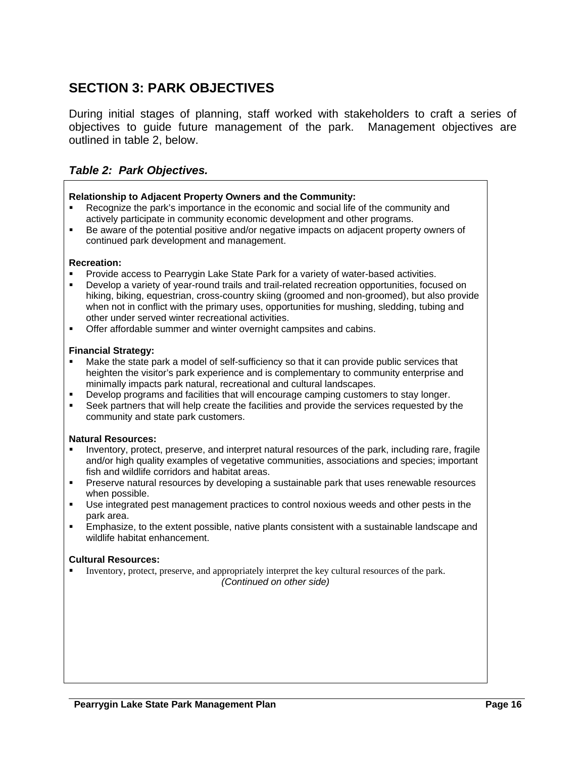# <span id="page-15-0"></span>**SECTION 3: PARK OBJECTIVES**

During initial stages of planning, staff worked with stakeholders to craft a series of objectives to guide future management of the park. Management objectives are outlined in table 2, below.

### *Table 2: Park Objectives.*

#### **Relationship to Adjacent Property Owners and the Community:**

- Recognize the park's importance in the economic and social life of the community and actively participate in community economic development and other programs.
- Be aware of the potential positive and/or negative impacts on adjacent property owners of continued park development and management.

#### **Recreation:**

- Provide access to Pearrygin Lake State Park for a variety of water-based activities.
- Develop a variety of year-round trails and trail-related recreation opportunities, focused on hiking, biking, equestrian, cross-country skiing (groomed and non-groomed), but also provide when not in conflict with the primary uses, opportunities for mushing, sledding, tubing and other under served winter recreational activities.
- Offer affordable summer and winter overnight campsites and cabins.

#### **Financial Strategy:**

- Make the state park a model of self-sufficiency so that it can provide public services that heighten the visitor's park experience and is complementary to community enterprise and minimally impacts park natural, recreational and cultural landscapes.
- Develop programs and facilities that will encourage camping customers to stay longer.
- Seek partners that will help create the facilities and provide the services requested by the community and state park customers.

#### **Natural Resources:**

- Inventory, protect, preserve, and interpret natural resources of the park, including rare, fragile and/or high quality examples of vegetative communities, associations and species; important fish and wildlife corridors and habitat areas.
- Preserve natural resources by developing a sustainable park that uses renewable resources when possible.
- Use integrated pest management practices to control noxious weeds and other pests in the park area.
- Emphasize, to the extent possible, native plants consistent with a sustainable landscape and wildlife habitat enhancement.

#### **Cultural Resources:**

 Inventory, protect, preserve, and appropriately interpret the key cultural resources of the park. *(Continued on other side)*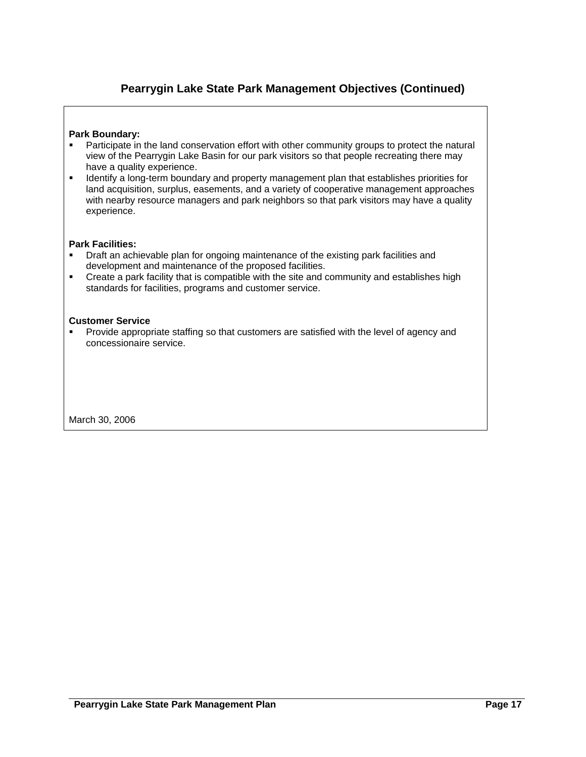# **Pearrygin Lake State Park Management Objectives (Continued)**

#### **Park Boundary:**

- **Participate in the land conservation effort with other community groups to protect the natural** view of the Pearrygin Lake Basin for our park visitors so that people recreating there may have a quality experience.
- **IDENTIFY A LONG-TERM** boundary and property management plan that establishes priorities for land acquisition, surplus, easements, and a variety of cooperative management approaches with nearby resource managers and park neighbors so that park visitors may have a quality experience.

#### **Park Facilities:**

- Draft an achievable plan for ongoing maintenance of the existing park facilities and development and maintenance of the proposed facilities.
- Create a park facility that is compatible with the site and community and establishes high standards for facilities, programs and customer service.

#### **Customer Service**

**Provide appropriate staffing so that customers are satisfied with the level of agency and** concessionaire service.

March 30, 2006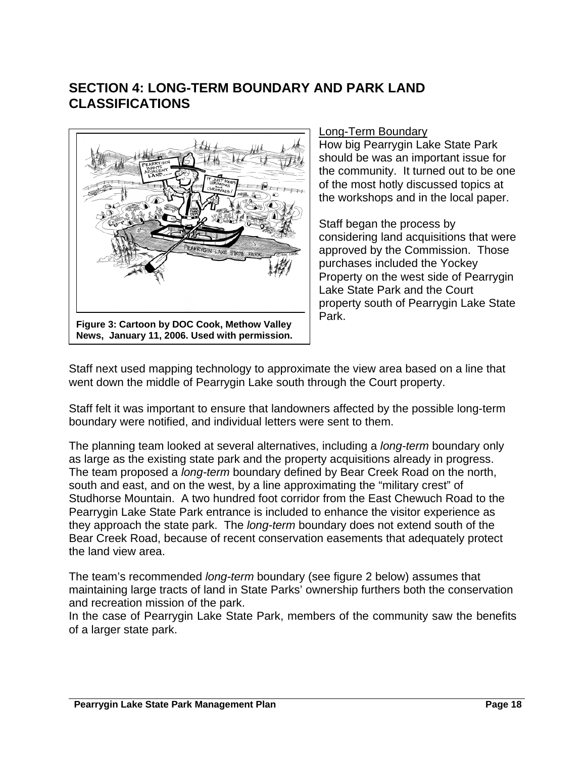# <span id="page-17-0"></span>**SECTION 4: LONG-TERM BOUNDARY AND PARK LAND CLASSIFICATIONS**



### Long-Term Boundary

How big Pearrygin Lake State Park should be was an important issue for the community. It turned out to be one of the most hotly discussed topics at the workshops and in the local paper.

Staff began the process by considering land acquisitions that were approved by the Commission. Those purchases included the Yockey Property on the west side of Pearrygin Lake State Park and the Court property south of Pearrygin Lake State Park.

Staff next used mapping technology to approximate the view area based on a line that went down the middle of Pearrygin Lake south through the Court property.

Staff felt it was important to ensure that landowners affected by the possible long-term boundary were notified, and individual letters were sent to them.

The planning team looked at several alternatives, including a *long-term* boundary only as large as the existing state park and the property acquisitions already in progress. The team proposed a *long-term* boundary defined by Bear Creek Road on the north, south and east, and on the west, by a line approximating the "military crest" of Studhorse Mountain. A two hundred foot corridor from the East Chewuch Road to the Pearrygin Lake State Park entrance is included to enhance the visitor experience as they approach the state park. The *long-term* boundary does not extend south of the Bear Creek Road, because of recent conservation easements that adequately protect the land view area.

The team's recommended *long-term* boundary (see figure 2 below) assumes that maintaining large tracts of land in State Parks' ownership furthers both the conservation and recreation mission of the park.

In the case of Pearrygin Lake State Park, members of the community saw the benefits of a larger state park.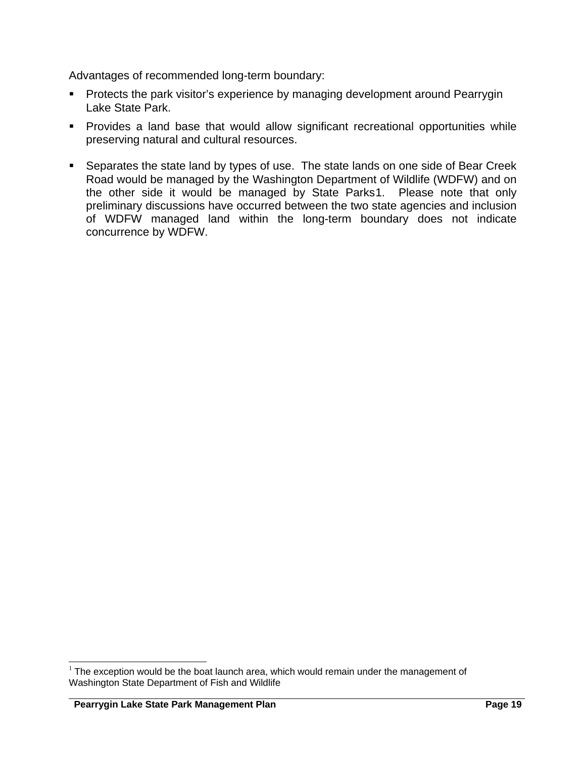Advantages of recommended long-term boundary:

- **Protects the park visitor's experience by managing development around Pearrygin** Lake State Park.
- **Provides a land base that would allow significant recreational opportunities while** preserving natural and cultural resources.
- **Separates the state land by types of use. The state lands on one side of Bear Creek** Road would be managed by the Washington Department of Wildlife (WDFW) and on the other side it would be managed by State Parks[1](#page-18-0). Please note that only preliminary discussions have occurred between the two state agencies and inclusion of WDFW managed land within the long-term boundary does not indicate concurrence by WDFW.

 $\overline{\phantom{a}}$ 

<span id="page-18-0"></span> $1$  The exception would be the boat launch area, which would remain under the management of Washington State Department of Fish and Wildlife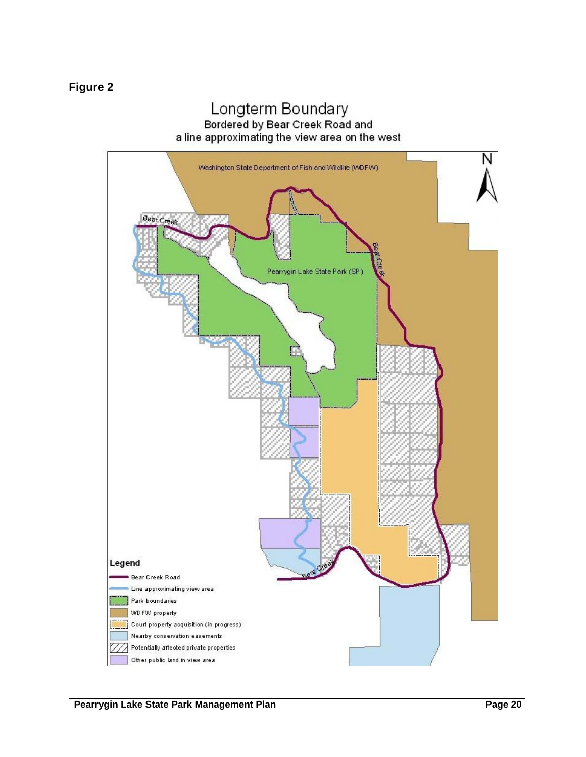# Longterm Boundary Bordered by Bear Creek Road and a line approximating the view area on the west

<span id="page-19-0"></span>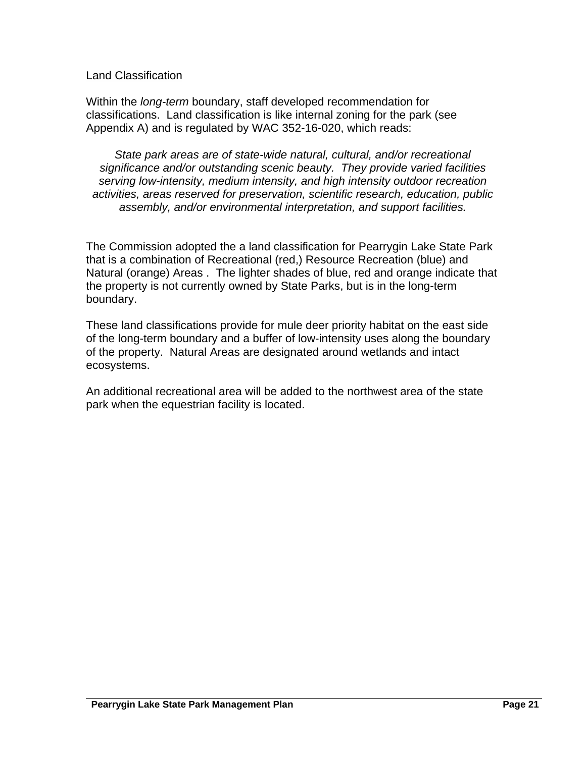### Land Classification

Within the *long-term* boundary, staff developed recommendation for classifications. Land classification is like internal zoning for the park (see Appendix A) and is regulated by WAC 352-16-020, which reads:

*State park areas are of state-wide natural, cultural, and/or recreational significance and/or outstanding scenic beauty. They provide varied facilities serving low-intensity, medium intensity, and high intensity outdoor recreation activities, areas reserved for preservation, scientific research, education, public assembly, and/or environmental interpretation, and support facilities.* 

The Commission adopted the a land classification for Pearrygin Lake State Park that is a combination of Recreational (red,) Resource Recreation (blue) and Natural (orange) Areas . The lighter shades of blue, red and orange indicate that the property is not currently owned by State Parks, but is in the long-term boundary.

These land classifications provide for mule deer priority habitat on the east side of the long-term boundary and a buffer of low-intensity uses along the boundary of the property. Natural Areas are designated around wetlands and intact ecosystems.

An additional recreational area will be added to the northwest area of the state park when the equestrian facility is located.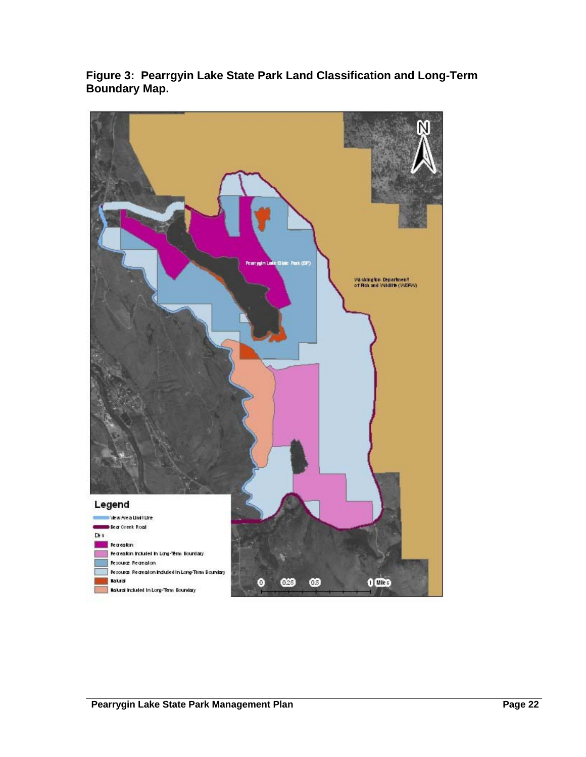

<span id="page-21-0"></span>**Figure 3: Pearrgyin Lake State Park Land Classification and Long-Term Boundary Map.**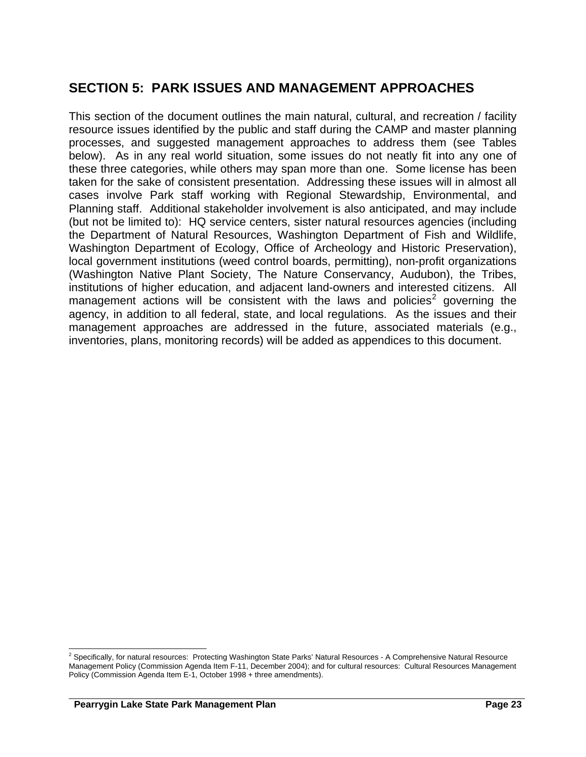# <span id="page-22-0"></span>**SECTION 5: PARK ISSUES AND MANAGEMENT APPROACHES**

This section of the document outlines the main natural, cultural, and recreation / facility resource issues identified by the public and staff during the CAMP and master planning processes, and suggested management approaches to address them (see Tables below). As in any real world situation, some issues do not neatly fit into any one of these three categories, while others may span more than one. Some license has been taken for the sake of consistent presentation. Addressing these issues will in almost all cases involve Park staff working with Regional Stewardship, Environmental, and Planning staff. Additional stakeholder involvement is also anticipated, and may include (but not be limited to): HQ service centers, sister natural resources agencies (including the Department of Natural Resources, Washington Department of Fish and Wildlife, Washington Department of Ecology, Office of Archeology and Historic Preservation), local government institutions (weed control boards, permitting), non-profit organizations (Washington Native Plant Society, The Nature Conservancy, Audubon), the Tribes, institutions of higher education, and adjacent land-owners and interested citizens. All management actions will be consistent with the laws and policies<sup>[2](#page-22-0)</sup> governing the agency, in addition to all federal, state, and local regulations. As the issues and their management approaches are addressed in the future, associated materials (e.g., inventories, plans, monitoring records) will be added as appendices to this document.

 2 Specifically, for natural resources: Protecting Washington State Parks' Natural Resources - A Comprehensive Natural Resource Management Policy (Commission Agenda Item F-11, December 2004); and for cultural resources: Cultural Resources Management Policy (Commission Agenda Item E-1, October 1998 + three amendments).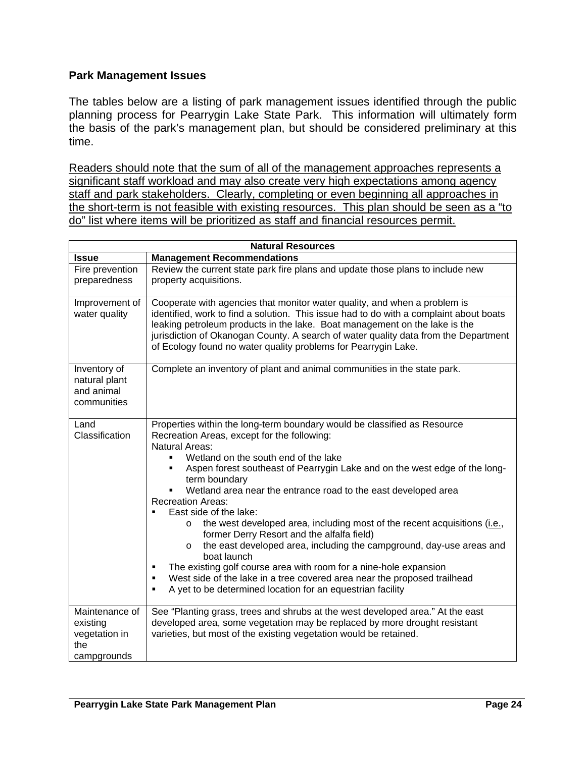### <span id="page-23-0"></span>**Park Management Issues**

The tables below are a listing of park management issues identified through the public planning process for Pearrygin Lake State Park. This information will ultimately form the basis of the park's management plan, but should be considered preliminary at this time.

Readers should note that the sum of all of the management approaches represents a significant staff workload and may also create very high expectations among agency staff and park stakeholders. Clearly, completing or even beginning all approaches in the short-term is not feasible with existing resources. This plan should be seen as a "to do" list where items will be prioritized as staff and financial resources permit.

| <b>Natural Resources</b>                                          |                                                                                                                                                                                                                                                                                                                                                                                                                                                                                                                                                                                                                                                                                                                                                                                                                                                                                                    |  |  |  |
|-------------------------------------------------------------------|----------------------------------------------------------------------------------------------------------------------------------------------------------------------------------------------------------------------------------------------------------------------------------------------------------------------------------------------------------------------------------------------------------------------------------------------------------------------------------------------------------------------------------------------------------------------------------------------------------------------------------------------------------------------------------------------------------------------------------------------------------------------------------------------------------------------------------------------------------------------------------------------------|--|--|--|
| <b>Issue</b>                                                      | <b>Management Recommendations</b>                                                                                                                                                                                                                                                                                                                                                                                                                                                                                                                                                                                                                                                                                                                                                                                                                                                                  |  |  |  |
| Fire prevention<br>preparedness                                   | Review the current state park fire plans and update those plans to include new<br>property acquisitions.                                                                                                                                                                                                                                                                                                                                                                                                                                                                                                                                                                                                                                                                                                                                                                                           |  |  |  |
| Improvement of<br>water quality                                   | Cooperate with agencies that monitor water quality, and when a problem is<br>identified, work to find a solution. This issue had to do with a complaint about boats<br>leaking petroleum products in the lake. Boat management on the lake is the<br>jurisdiction of Okanogan County. A search of water quality data from the Department<br>of Ecology found no water quality problems for Pearrygin Lake.                                                                                                                                                                                                                                                                                                                                                                                                                                                                                         |  |  |  |
| Inventory of<br>natural plant<br>and animal<br>communities        | Complete an inventory of plant and animal communities in the state park.                                                                                                                                                                                                                                                                                                                                                                                                                                                                                                                                                                                                                                                                                                                                                                                                                           |  |  |  |
| Land<br>Classification                                            | Properties within the long-term boundary would be classified as Resource<br>Recreation Areas, except for the following:<br><b>Natural Areas:</b><br>Wetland on the south end of the lake<br>٠<br>Aspen forest southeast of Pearrygin Lake and on the west edge of the long-<br>٠<br>term boundary<br>Wetland area near the entrance road to the east developed area<br><b>Recreation Areas:</b><br>East side of the lake:<br>the west developed area, including most of the recent acquisitions ( <i>i.e.</i> ,<br>O<br>former Derry Resort and the alfalfa field)<br>the east developed area, including the campground, day-use areas and<br>$\circ$<br>boat launch<br>The existing golf course area with room for a nine-hole expansion<br>٠<br>West side of the lake in a tree covered area near the proposed trailhead<br>٠<br>A yet to be determined location for an equestrian facility<br>٠ |  |  |  |
| Maintenance of<br>existing<br>vegetation in<br>the<br>campgrounds | See "Planting grass, trees and shrubs at the west developed area." At the east<br>developed area, some vegetation may be replaced by more drought resistant<br>varieties, but most of the existing vegetation would be retained.                                                                                                                                                                                                                                                                                                                                                                                                                                                                                                                                                                                                                                                                   |  |  |  |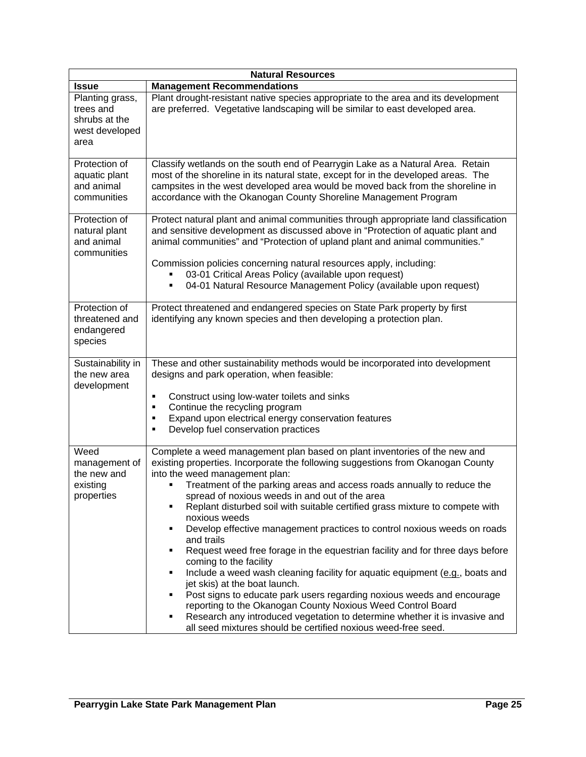|                                                                         | <b>Natural Resources</b>                                                                                                                                                                                                                                                                                                                                                                                                                                                                                                                                                                                                                                                                                                                                                                                                                                                                                                                                                                                                                                                |
|-------------------------------------------------------------------------|-------------------------------------------------------------------------------------------------------------------------------------------------------------------------------------------------------------------------------------------------------------------------------------------------------------------------------------------------------------------------------------------------------------------------------------------------------------------------------------------------------------------------------------------------------------------------------------------------------------------------------------------------------------------------------------------------------------------------------------------------------------------------------------------------------------------------------------------------------------------------------------------------------------------------------------------------------------------------------------------------------------------------------------------------------------------------|
| <b>Issue</b>                                                            | <b>Management Recommendations</b>                                                                                                                                                                                                                                                                                                                                                                                                                                                                                                                                                                                                                                                                                                                                                                                                                                                                                                                                                                                                                                       |
| Planting grass,<br>trees and<br>shrubs at the<br>west developed<br>area | Plant drought-resistant native species appropriate to the area and its development<br>are preferred. Vegetative landscaping will be similar to east developed area.                                                                                                                                                                                                                                                                                                                                                                                                                                                                                                                                                                                                                                                                                                                                                                                                                                                                                                     |
| Protection of<br>aquatic plant<br>and animal<br>communities             | Classify wetlands on the south end of Pearrygin Lake as a Natural Area. Retain<br>most of the shoreline in its natural state, except for in the developed areas. The<br>campsites in the west developed area would be moved back from the shoreline in<br>accordance with the Okanogan County Shoreline Management Program                                                                                                                                                                                                                                                                                                                                                                                                                                                                                                                                                                                                                                                                                                                                              |
| Protection of<br>natural plant<br>and animal<br>communities             | Protect natural plant and animal communities through appropriate land classification<br>and sensitive development as discussed above in "Protection of aquatic plant and<br>animal communities" and "Protection of upland plant and animal communities."<br>Commission policies concerning natural resources apply, including:<br>03-01 Critical Areas Policy (available upon request)<br>04-01 Natural Resource Management Policy (available upon request)<br>٠                                                                                                                                                                                                                                                                                                                                                                                                                                                                                                                                                                                                        |
| Protection of<br>threatened and<br>endangered<br>species                | Protect threatened and endangered species on State Park property by first<br>identifying any known species and then developing a protection plan.                                                                                                                                                                                                                                                                                                                                                                                                                                                                                                                                                                                                                                                                                                                                                                                                                                                                                                                       |
| Sustainability in<br>the new area<br>development                        | These and other sustainability methods would be incorporated into development<br>designs and park operation, when feasible:<br>Construct using low-water toilets and sinks<br>٠<br>Continue the recycling program<br>٠<br>Expand upon electrical energy conservation features<br>٠<br>Develop fuel conservation practices<br>٠                                                                                                                                                                                                                                                                                                                                                                                                                                                                                                                                                                                                                                                                                                                                          |
| Weed<br>management of<br>the new and<br>existing<br>properties          | Complete a weed management plan based on plant inventories of the new and<br>existing properties. Incorporate the following suggestions from Okanogan County<br>into the weed management plan:<br>Treatment of the parking areas and access roads annually to reduce the<br>spread of noxious weeds in and out of the area<br>Replant disturbed soil with suitable certified grass mixture to compete with<br>٠<br>noxious weeds<br>Develop effective management practices to control noxious weeds on roads<br>٠<br>and trails<br>Request weed free forage in the equestrian facility and for three days before<br>٠<br>coming to the facility<br>Include a weed wash cleaning facility for aquatic equipment (e.g., boats and<br>٠<br>jet skis) at the boat launch.<br>Post signs to educate park users regarding noxious weeds and encourage<br>٠<br>reporting to the Okanogan County Noxious Weed Control Board<br>Research any introduced vegetation to determine whether it is invasive and<br>٠<br>all seed mixtures should be certified noxious weed-free seed. |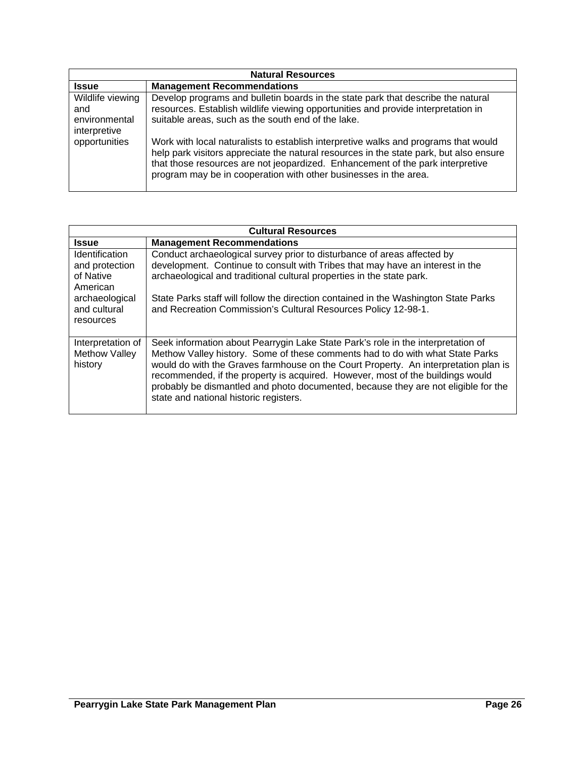| <b>Natural Resources</b>                                 |                                                                                                                                                                                                                                                                                                                                     |  |
|----------------------------------------------------------|-------------------------------------------------------------------------------------------------------------------------------------------------------------------------------------------------------------------------------------------------------------------------------------------------------------------------------------|--|
| <b>Issue</b>                                             | <b>Management Recommendations</b>                                                                                                                                                                                                                                                                                                   |  |
| Wildlife viewing<br>and<br>environmental<br>interpretive | Develop programs and bulletin boards in the state park that describe the natural<br>resources. Establish wildlife viewing opportunities and provide interpretation in<br>suitable areas, such as the south end of the lake.                                                                                                         |  |
| opportunities                                            | Work with local naturalists to establish interpretive walks and programs that would<br>help park visitors appreciate the natural resources in the state park, but also ensure<br>that those resources are not jeopardized. Enhancement of the park interpretive<br>program may be in cooperation with other businesses in the area. |  |

|                                                           | <b>Cultural Resources</b>                                                                                                                                                                                                                                                                                                                                                                                                                                                  |
|-----------------------------------------------------------|----------------------------------------------------------------------------------------------------------------------------------------------------------------------------------------------------------------------------------------------------------------------------------------------------------------------------------------------------------------------------------------------------------------------------------------------------------------------------|
| <b>Issue</b>                                              | <b>Management Recommendations</b>                                                                                                                                                                                                                                                                                                                                                                                                                                          |
| Identification<br>and protection<br>of Native<br>American | Conduct archaeological survey prior to disturbance of areas affected by<br>development. Continue to consult with Tribes that may have an interest in the<br>archaeological and traditional cultural properties in the state park.                                                                                                                                                                                                                                          |
| archaeological<br>and cultural<br>resources               | State Parks staff will follow the direction contained in the Washington State Parks<br>and Recreation Commission's Cultural Resources Policy 12-98-1.                                                                                                                                                                                                                                                                                                                      |
| Interpretation of<br>Methow Valley<br>history             | Seek information about Pearrygin Lake State Park's role in the interpretation of<br>Methow Valley history. Some of these comments had to do with what State Parks<br>would do with the Graves farmhouse on the Court Property. An interpretation plan is<br>recommended, if the property is acquired. However, most of the buildings would<br>probably be dismantled and photo documented, because they are not eligible for the<br>state and national historic registers. |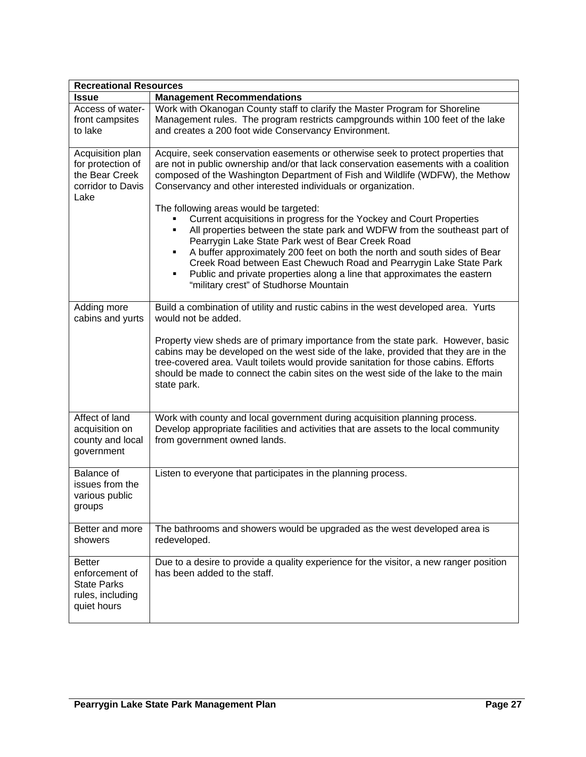| <b>Recreational Resources</b>                                                            |                                                                                                                                                                                                                                                                                                                                                                                                                                                                                                |  |  |  |  |  |  |
|------------------------------------------------------------------------------------------|------------------------------------------------------------------------------------------------------------------------------------------------------------------------------------------------------------------------------------------------------------------------------------------------------------------------------------------------------------------------------------------------------------------------------------------------------------------------------------------------|--|--|--|--|--|--|
| <b>Issue</b>                                                                             | <b>Management Recommendations</b>                                                                                                                                                                                                                                                                                                                                                                                                                                                              |  |  |  |  |  |  |
| Access of water-<br>front campsites<br>to lake                                           | Work with Okanogan County staff to clarify the Master Program for Shoreline<br>Management rules. The program restricts campgrounds within 100 feet of the lake<br>and creates a 200 foot wide Conservancy Environment.                                                                                                                                                                                                                                                                         |  |  |  |  |  |  |
| Acquisition plan<br>for protection of<br>the Bear Creek<br>corridor to Davis<br>Lake     | Acquire, seek conservation easements or otherwise seek to protect properties that<br>are not in public ownership and/or that lack conservation easements with a coalition<br>composed of the Washington Department of Fish and Wildlife (WDFW), the Methow<br>Conservancy and other interested individuals or organization.<br>The following areas would be targeted:                                                                                                                          |  |  |  |  |  |  |
|                                                                                          | Current acquisitions in progress for the Yockey and Court Properties<br>All properties between the state park and WDFW from the southeast part of<br>٠<br>Pearrygin Lake State Park west of Bear Creek Road<br>A buffer approximately 200 feet on both the north and south sides of Bear<br>٠<br>Creek Road between East Chewuch Road and Pearrygin Lake State Park<br>Public and private properties along a line that approximates the eastern<br>٠<br>"military crest" of Studhorse Mountain |  |  |  |  |  |  |
| Adding more<br>cabins and yurts                                                          | Build a combination of utility and rustic cabins in the west developed area. Yurts<br>would not be added.<br>Property view sheds are of primary importance from the state park. However, basic<br>cabins may be developed on the west side of the lake, provided that they are in the<br>tree-covered area. Vault toilets would provide sanitation for those cabins. Efforts<br>should be made to connect the cabin sites on the west side of the lake to the main<br>state park.              |  |  |  |  |  |  |
| Affect of land<br>acquisition on<br>county and local<br>government                       | Work with county and local government during acquisition planning process.<br>Develop appropriate facilities and activities that are assets to the local community<br>from government owned lands.                                                                                                                                                                                                                                                                                             |  |  |  |  |  |  |
| Balance of<br>issues from the<br>various public<br>groups                                | Listen to everyone that participates in the planning process.                                                                                                                                                                                                                                                                                                                                                                                                                                  |  |  |  |  |  |  |
| Better and more<br>showers                                                               | The bathrooms and showers would be upgraded as the west developed area is<br>redeveloped.                                                                                                                                                                                                                                                                                                                                                                                                      |  |  |  |  |  |  |
| <b>Better</b><br>enforcement of<br><b>State Parks</b><br>rules, including<br>quiet hours | Due to a desire to provide a quality experience for the visitor, a new ranger position<br>has been added to the staff.                                                                                                                                                                                                                                                                                                                                                                         |  |  |  |  |  |  |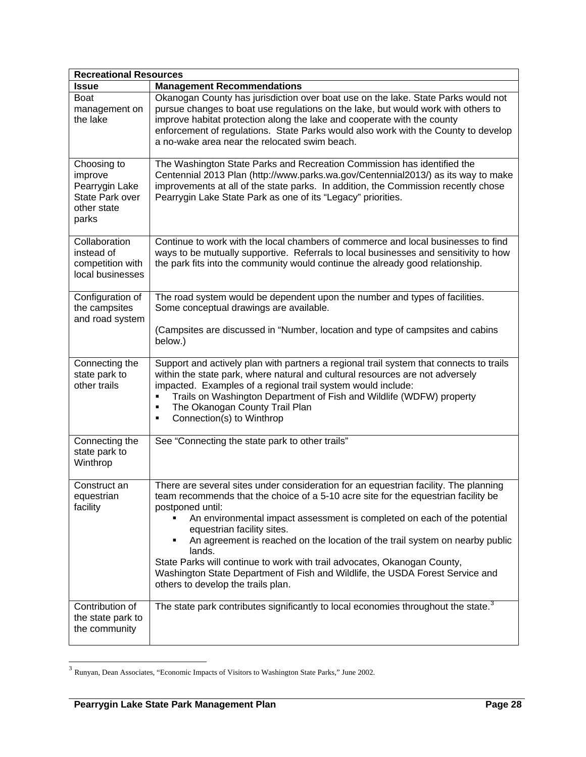<span id="page-27-0"></span>

| <b>Recreational Resources</b>                                                              |                                                                                                                                                                                                                                                                                                                                                                                                                                                                                                                                                                                                            |
|--------------------------------------------------------------------------------------------|------------------------------------------------------------------------------------------------------------------------------------------------------------------------------------------------------------------------------------------------------------------------------------------------------------------------------------------------------------------------------------------------------------------------------------------------------------------------------------------------------------------------------------------------------------------------------------------------------------|
| <b>Issue</b>                                                                               | <b>Management Recommendations</b>                                                                                                                                                                                                                                                                                                                                                                                                                                                                                                                                                                          |
| Boat<br>management on<br>the lake                                                          | Okanogan County has jurisdiction over boat use on the lake. State Parks would not<br>pursue changes to boat use regulations on the lake, but would work with others to<br>improve habitat protection along the lake and cooperate with the county<br>enforcement of regulations. State Parks would also work with the County to develop<br>a no-wake area near the relocated swim beach.                                                                                                                                                                                                                   |
| Choosing to<br>improve<br>Pearrygin Lake<br><b>State Park over</b><br>other state<br>parks | The Washington State Parks and Recreation Commission has identified the<br>Centennial 2013 Plan (http://www.parks.wa.gov/Centennial2013/) as its way to make<br>improvements at all of the state parks. In addition, the Commission recently chose<br>Pearrygin Lake State Park as one of its "Legacy" priorities.                                                                                                                                                                                                                                                                                         |
| Collaboration<br>instead of<br>competition with<br>local businesses                        | Continue to work with the local chambers of commerce and local businesses to find<br>ways to be mutually supportive. Referrals to local businesses and sensitivity to how<br>the park fits into the community would continue the already good relationship.                                                                                                                                                                                                                                                                                                                                                |
| Configuration of<br>the campsites<br>and road system                                       | The road system would be dependent upon the number and types of facilities.<br>Some conceptual drawings are available.<br>(Campsites are discussed in "Number, location and type of campsites and cabins                                                                                                                                                                                                                                                                                                                                                                                                   |
|                                                                                            | below.)                                                                                                                                                                                                                                                                                                                                                                                                                                                                                                                                                                                                    |
| Connecting the<br>state park to<br>other trails                                            | Support and actively plan with partners a regional trail system that connects to trails<br>within the state park, where natural and cultural resources are not adversely<br>impacted. Examples of a regional trail system would include:<br>Trails on Washington Department of Fish and Wildlife (WDFW) property<br>The Okanogan County Trail Plan<br>Connection(s) to Winthrop                                                                                                                                                                                                                            |
| Connecting the<br>state park to<br>Winthrop                                                | See "Connecting the state park to other trails"                                                                                                                                                                                                                                                                                                                                                                                                                                                                                                                                                            |
| Construct an<br>equestrian<br>facility                                                     | There are several sites under consideration for an equestrian facility. The planning<br>team recommends that the choice of a 5-10 acre site for the equestrian facility be<br>postponed until:<br>An environmental impact assessment is completed on each of the potential<br>equestrian facility sites.<br>An agreement is reached on the location of the trail system on nearby public<br>٠<br>lands.<br>State Parks will continue to work with trail advocates, Okanogan County,<br>Washington State Department of Fish and Wildlife, the USDA Forest Service and<br>others to develop the trails plan. |
| Contribution of<br>the state park to<br>the community                                      | The state park contributes significantly to local economies throughout the state. <sup>3</sup>                                                                                                                                                                                                                                                                                                                                                                                                                                                                                                             |

 $3$  Runyan, Dean Associates, "Economic Impacts of Visitors to Washington State Parks," June 2002.

 $\overline{\phantom{a}}$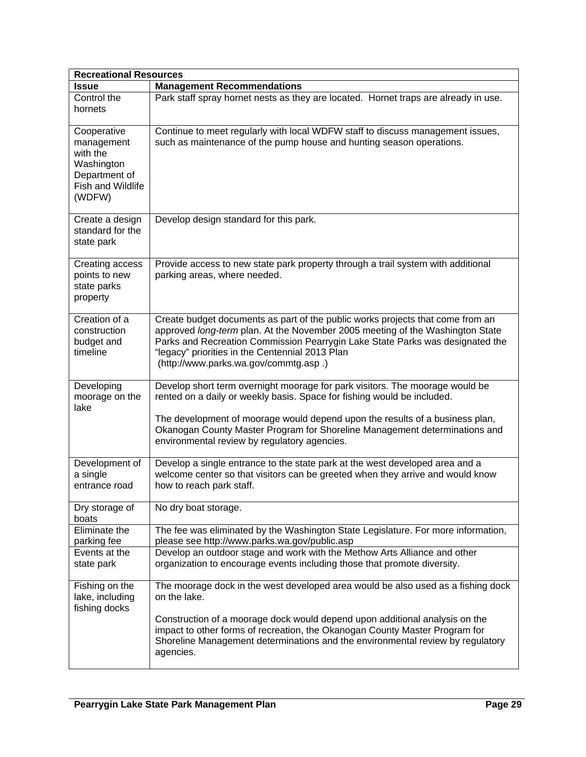|                                                                                                     | <b>Recreational Resources</b>                                                                                                                                                                                                                                                                                                                                         |  |  |  |  |  |  |  |
|-----------------------------------------------------------------------------------------------------|-----------------------------------------------------------------------------------------------------------------------------------------------------------------------------------------------------------------------------------------------------------------------------------------------------------------------------------------------------------------------|--|--|--|--|--|--|--|
| <b>Issue</b>                                                                                        | <b>Management Recommendations</b>                                                                                                                                                                                                                                                                                                                                     |  |  |  |  |  |  |  |
| Control the<br>hornets                                                                              | Park staff spray hornet nests as they are located. Hornet traps are already in use.                                                                                                                                                                                                                                                                                   |  |  |  |  |  |  |  |
| Cooperative<br>management<br>with the<br>Washington<br>Department of<br>Fish and Wildlife<br>(WDFW) | Continue to meet regularly with local WDFW staff to discuss management issues,<br>such as maintenance of the pump house and hunting season operations.                                                                                                                                                                                                                |  |  |  |  |  |  |  |
| Create a design<br>standard for the<br>state park                                                   | Develop design standard for this park.                                                                                                                                                                                                                                                                                                                                |  |  |  |  |  |  |  |
| Creating access<br>points to new<br>state parks<br>property                                         | Provide access to new state park property through a trail system with additional<br>parking areas, where needed.                                                                                                                                                                                                                                                      |  |  |  |  |  |  |  |
| Creation of a<br>construction<br>budget and<br>timeline                                             | Create budget documents as part of the public works projects that come from an<br>approved long-term plan. At the November 2005 meeting of the Washington State<br>Parks and Recreation Commission Pearrygin Lake State Parks was designated the<br>"legacy" priorities in the Centennial 2013 Plan<br>(http://www.parks.wa.gov/commtg.asp.)                          |  |  |  |  |  |  |  |
| Developing<br>moorage on the<br>lake                                                                | Develop short term overnight moorage for park visitors. The moorage would be<br>rented on a daily or weekly basis. Space for fishing would be included.<br>The development of moorage would depend upon the results of a business plan,<br>Okanogan County Master Program for Shoreline Management determinations and<br>environmental review by regulatory agencies. |  |  |  |  |  |  |  |
| Development of<br>a single<br>entrance road                                                         | Develop a single entrance to the state park at the west developed area and a<br>welcome center so that visitors can be greeted when they arrive and would know<br>how to reach park staff.                                                                                                                                                                            |  |  |  |  |  |  |  |
| Dry storage of<br>boats                                                                             | No dry boat storage.                                                                                                                                                                                                                                                                                                                                                  |  |  |  |  |  |  |  |
| Eliminate the<br>parking fee                                                                        | The fee was eliminated by the Washington State Legislature. For more information,<br>please see http://www.parks.wa.gov/public.asp                                                                                                                                                                                                                                    |  |  |  |  |  |  |  |
| Events at the<br>state park                                                                         | Develop an outdoor stage and work with the Methow Arts Alliance and other<br>organization to encourage events including those that promote diversity.                                                                                                                                                                                                                 |  |  |  |  |  |  |  |
| Fishing on the<br>lake, including<br>fishing docks                                                  | The moorage dock in the west developed area would be also used as a fishing dock<br>on the lake.<br>Construction of a moorage dock would depend upon additional analysis on the<br>impact to other forms of recreation, the Okanogan County Master Program for<br>Shoreline Management determinations and the environmental review by regulatory<br>agencies.         |  |  |  |  |  |  |  |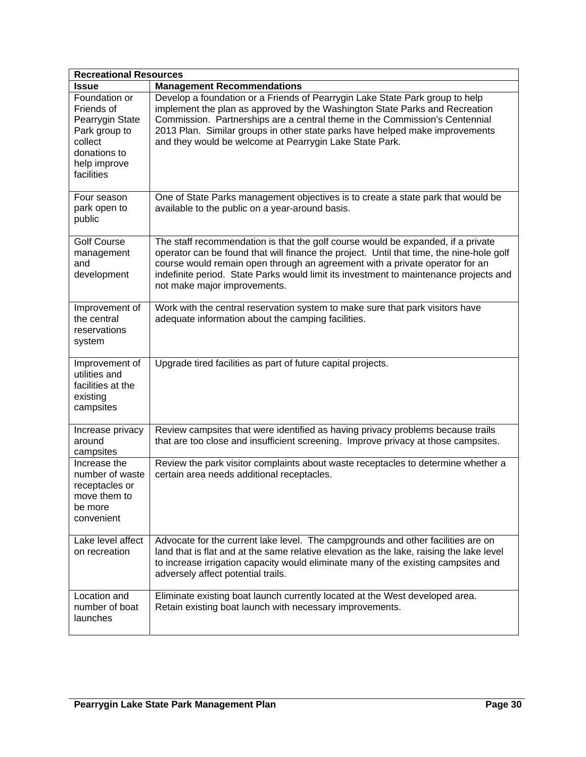| <b>Recreational Resources</b>                                                                                            |                                                                                                                                                                                                                                                                                                                                                                                       |  |  |  |  |
|--------------------------------------------------------------------------------------------------------------------------|---------------------------------------------------------------------------------------------------------------------------------------------------------------------------------------------------------------------------------------------------------------------------------------------------------------------------------------------------------------------------------------|--|--|--|--|
| Issue                                                                                                                    | <b>Management Recommendations</b>                                                                                                                                                                                                                                                                                                                                                     |  |  |  |  |
| Foundation or<br>Friends of<br>Pearrygin State<br>Park group to<br>collect<br>donations to<br>help improve<br>facilities | Develop a foundation or a Friends of Pearrygin Lake State Park group to help<br>implement the plan as approved by the Washington State Parks and Recreation<br>Commission. Partnerships are a central theme in the Commission's Centennial<br>2013 Plan. Similar groups in other state parks have helped make improvements<br>and they would be welcome at Pearrygin Lake State Park. |  |  |  |  |
| Four season<br>park open to<br>public                                                                                    | One of State Parks management objectives is to create a state park that would be<br>available to the public on a year-around basis.                                                                                                                                                                                                                                                   |  |  |  |  |
| <b>Golf Course</b><br>management<br>and<br>development                                                                   | The staff recommendation is that the golf course would be expanded, if a private<br>operator can be found that will finance the project. Until that time, the nine-hole golf<br>course would remain open through an agreement with a private operator for an<br>indefinite period. State Parks would limit its investment to maintenance projects and<br>not make major improvements. |  |  |  |  |
| Improvement of<br>the central<br>reservations<br>system                                                                  | Work with the central reservation system to make sure that park visitors have<br>adequate information about the camping facilities.                                                                                                                                                                                                                                                   |  |  |  |  |
| Improvement of<br>utilities and<br>facilities at the<br>existing<br>campsites                                            | Upgrade tired facilities as part of future capital projects.                                                                                                                                                                                                                                                                                                                          |  |  |  |  |
| Increase privacy<br>around<br>campsites                                                                                  | Review campsites that were identified as having privacy problems because trails<br>that are too close and insufficient screening. Improve privacy at those campsites.                                                                                                                                                                                                                 |  |  |  |  |
| Increase the<br>number of waste<br>receptacles or<br>move them to<br>be more<br>convenient                               | Review the park visitor complaints about waste receptacles to determine whether a<br>certain area needs additional receptacles.                                                                                                                                                                                                                                                       |  |  |  |  |
| Lake level affect<br>on recreation                                                                                       | Advocate for the current lake level. The campgrounds and other facilities are on<br>land that is flat and at the same relative elevation as the lake, raising the lake level<br>to increase irrigation capacity would eliminate many of the existing campsites and<br>adversely affect potential trails.                                                                              |  |  |  |  |
| Location and<br>number of boat<br>launches                                                                               | Eliminate existing boat launch currently located at the West developed area.<br>Retain existing boat launch with necessary improvements.                                                                                                                                                                                                                                              |  |  |  |  |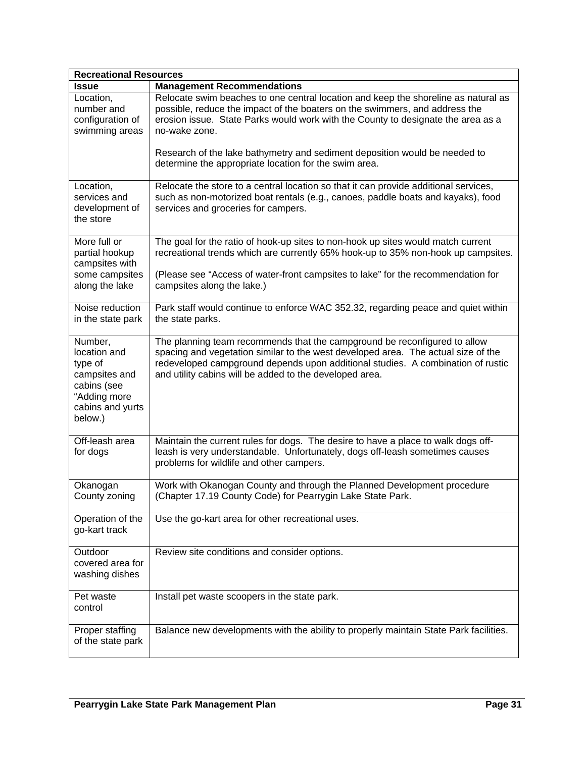| <b>Recreational Resources</b>                                                                                     |                                                                                                                                                                                                                                                                                                              |
|-------------------------------------------------------------------------------------------------------------------|--------------------------------------------------------------------------------------------------------------------------------------------------------------------------------------------------------------------------------------------------------------------------------------------------------------|
| <b>Issue</b>                                                                                                      | <b>Management Recommendations</b>                                                                                                                                                                                                                                                                            |
| Location,<br>number and<br>configuration of<br>swimming areas                                                     | Relocate swim beaches to one central location and keep the shoreline as natural as<br>possible, reduce the impact of the boaters on the swimmers, and address the<br>erosion issue. State Parks would work with the County to designate the area as a<br>no-wake zone.                                       |
|                                                                                                                   | Research of the lake bathymetry and sediment deposition would be needed to<br>determine the appropriate location for the swim area.                                                                                                                                                                          |
| Location,<br>services and<br>development of<br>the store                                                          | Relocate the store to a central location so that it can provide additional services,<br>such as non-motorized boat rentals (e.g., canoes, paddle boats and kayaks), food<br>services and groceries for campers.                                                                                              |
| More full or<br>partial hookup<br>campsites with<br>some campsites                                                | The goal for the ratio of hook-up sites to non-hook up sites would match current<br>recreational trends which are currently 65% hook-up to 35% non-hook up campsites.<br>(Please see "Access of water-front campsites to lake" for the recommendation for                                                    |
| along the lake                                                                                                    | campsites along the lake.)                                                                                                                                                                                                                                                                                   |
| Noise reduction<br>in the state park                                                                              | Park staff would continue to enforce WAC 352.32, regarding peace and quiet within<br>the state parks.                                                                                                                                                                                                        |
| Number,<br>location and<br>type of<br>campsites and<br>cabins (see<br>"Adding more<br>cabins and yurts<br>below.) | The planning team recommends that the campground be reconfigured to allow<br>spacing and vegetation similar to the west developed area. The actual size of the<br>redeveloped campground depends upon additional studies. A combination of rustic<br>and utility cabins will be added to the developed area. |
| Off-leash area<br>for dogs                                                                                        | Maintain the current rules for dogs. The desire to have a place to walk dogs off-<br>leash is very understandable. Unfortunately, dogs off-leash sometimes causes<br>problems for wildlife and other campers.                                                                                                |
| Okanogan<br>County zoning                                                                                         | Work with Okanogan County and through the Planned Development procedure<br>(Chapter 17.19 County Code) for Pearrygin Lake State Park.                                                                                                                                                                        |
| Operation of the<br>go-kart track                                                                                 | Use the go-kart area for other recreational uses.                                                                                                                                                                                                                                                            |
| Outdoor<br>covered area for<br>washing dishes                                                                     | Review site conditions and consider options.                                                                                                                                                                                                                                                                 |
| Pet waste<br>control                                                                                              | Install pet waste scoopers in the state park.                                                                                                                                                                                                                                                                |
| Proper staffing<br>of the state park                                                                              | Balance new developments with the ability to properly maintain State Park facilities.                                                                                                                                                                                                                        |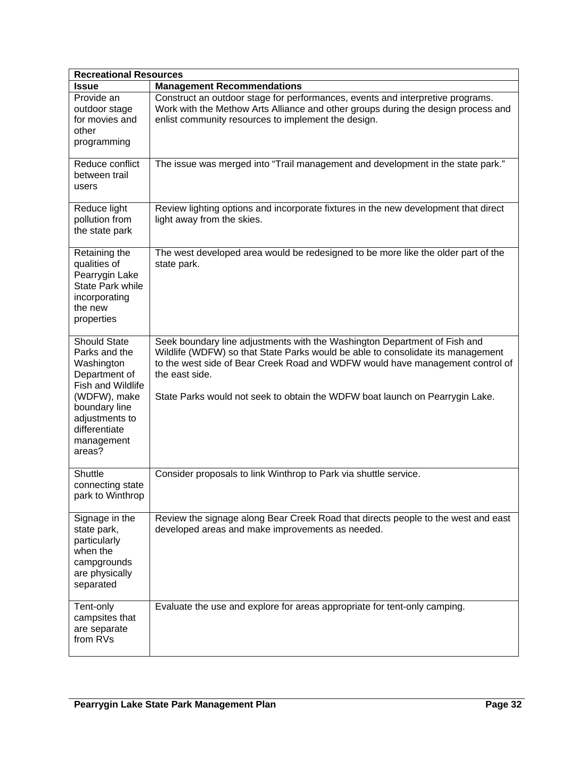| <b>Recreational Resources</b>                                                                                                                                                        |                                                                                                                                                                                                                                                                                                                                                 |
|--------------------------------------------------------------------------------------------------------------------------------------------------------------------------------------|-------------------------------------------------------------------------------------------------------------------------------------------------------------------------------------------------------------------------------------------------------------------------------------------------------------------------------------------------|
| <b>Issue</b>                                                                                                                                                                         | <b>Management Recommendations</b>                                                                                                                                                                                                                                                                                                               |
| Provide an<br>outdoor stage<br>for movies and<br>other<br>programming                                                                                                                | Construct an outdoor stage for performances, events and interpretive programs.<br>Work with the Methow Arts Alliance and other groups during the design process and<br>enlist community resources to implement the design.                                                                                                                      |
| Reduce conflict<br>between trail<br>users                                                                                                                                            | The issue was merged into "Trail management and development in the state park."                                                                                                                                                                                                                                                                 |
| Reduce light<br>pollution from<br>the state park                                                                                                                                     | Review lighting options and incorporate fixtures in the new development that direct<br>light away from the skies.                                                                                                                                                                                                                               |
| Retaining the<br>qualities of<br>Pearrygin Lake<br>State Park while<br>incorporating<br>the new<br>properties                                                                        | The west developed area would be redesigned to be more like the older part of the<br>state park.                                                                                                                                                                                                                                                |
| <b>Should State</b><br>Parks and the<br>Washington<br>Department of<br>Fish and Wildlife<br>(WDFW), make<br>boundary line<br>adjustments to<br>differentiate<br>management<br>areas? | Seek boundary line adjustments with the Washington Department of Fish and<br>Wildlife (WDFW) so that State Parks would be able to consolidate its management<br>to the west side of Bear Creek Road and WDFW would have management control of<br>the east side.<br>State Parks would not seek to obtain the WDFW boat launch on Pearrygin Lake. |
| Shuttle<br>connecting state<br>park to Winthrop                                                                                                                                      | Consider proposals to link Winthrop to Park via shuttle service.                                                                                                                                                                                                                                                                                |
| Signage in the<br>state park,<br>particularly<br>when the<br>campgrounds<br>are physically<br>separated                                                                              | Review the signage along Bear Creek Road that directs people to the west and east<br>developed areas and make improvements as needed.                                                                                                                                                                                                           |
| Tent-only<br>campsites that<br>are separate<br>from RVs                                                                                                                              | Evaluate the use and explore for areas appropriate for tent-only camping.                                                                                                                                                                                                                                                                       |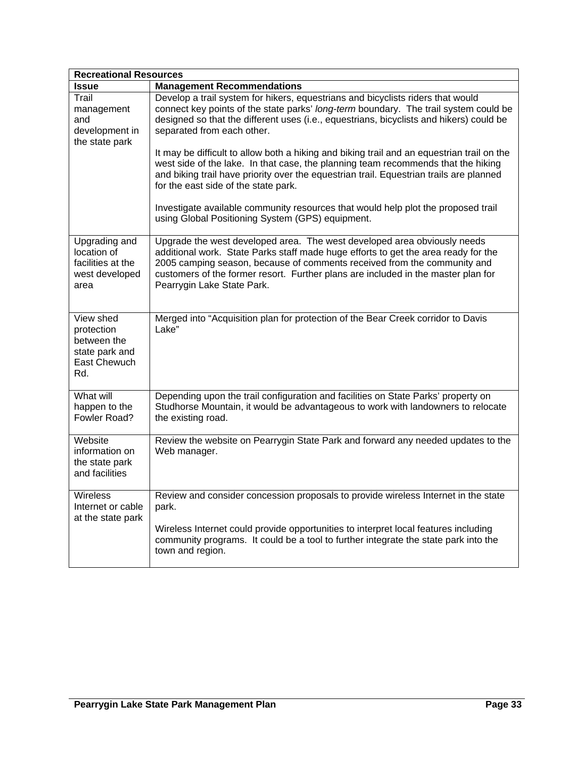| <b>Recreational Resources</b>                                                   |                                                                                                                                                                                                                                                                                                                                                               |
|---------------------------------------------------------------------------------|---------------------------------------------------------------------------------------------------------------------------------------------------------------------------------------------------------------------------------------------------------------------------------------------------------------------------------------------------------------|
| <b>Issue</b>                                                                    | <b>Management Recommendations</b>                                                                                                                                                                                                                                                                                                                             |
| Trail<br>management<br>and<br>development in<br>the state park                  | Develop a trail system for hikers, equestrians and bicyclists riders that would<br>connect key points of the state parks' long-term boundary. The trail system could be<br>designed so that the different uses (i.e., equestrians, bicyclists and hikers) could be<br>separated from each other.                                                              |
|                                                                                 | It may be difficult to allow both a hiking and biking trail and an equestrian trail on the<br>west side of the lake. In that case, the planning team recommends that the hiking<br>and biking trail have priority over the equestrian trail. Equestrian trails are planned<br>for the east side of the state park.                                            |
|                                                                                 | Investigate available community resources that would help plot the proposed trail<br>using Global Positioning System (GPS) equipment.                                                                                                                                                                                                                         |
| Upgrading and<br>location of<br>facilities at the<br>west developed<br>area     | Upgrade the west developed area. The west developed area obviously needs<br>additional work. State Parks staff made huge efforts to get the area ready for the<br>2005 camping season, because of comments received from the community and<br>customers of the former resort. Further plans are included in the master plan for<br>Pearrygin Lake State Park. |
| View shed<br>protection<br>between the<br>state park and<br>East Chewuch<br>Rd. | Merged into "Acquisition plan for protection of the Bear Creek corridor to Davis<br>Lake"                                                                                                                                                                                                                                                                     |
| What will<br>happen to the<br>Fowler Road?                                      | Depending upon the trail configuration and facilities on State Parks' property on<br>Studhorse Mountain, it would be advantageous to work with landowners to relocate<br>the existing road.                                                                                                                                                                   |
| Website<br>information on<br>the state park<br>and facilities                   | Review the website on Pearrygin State Park and forward any needed updates to the<br>Web manager.                                                                                                                                                                                                                                                              |
| Wireless<br>Internet or cable<br>at the state park                              | Review and consider concession proposals to provide wireless Internet in the state<br>park.                                                                                                                                                                                                                                                                   |
|                                                                                 | Wireless Internet could provide opportunities to interpret local features including<br>community programs. It could be a tool to further integrate the state park into the<br>town and region.                                                                                                                                                                |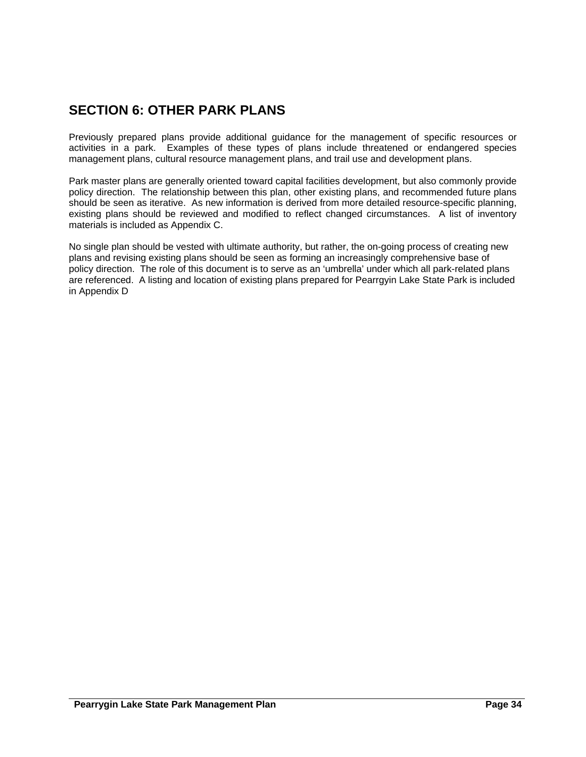# <span id="page-33-0"></span>**SECTION 6: OTHER PARK PLANS**

Previously prepared plans provide additional guidance for the management of specific resources or activities in a park. Examples of these types of plans include threatened or endangered species management plans, cultural resource management plans, and trail use and development plans.

Park master plans are generally oriented toward capital facilities development, but also commonly provide policy direction. The relationship between this plan, other existing plans, and recommended future plans should be seen as iterative. As new information is derived from more detailed resource-specific planning, existing plans should be reviewed and modified to reflect changed circumstances. A list of inventory materials is included as Appendix C.

No single plan should be vested with ultimate authority, but rather, the on-going process of creating new plans and revising existing plans should be seen as forming an increasingly comprehensive base of policy direction. The role of this document is to serve as an 'umbrella' under which all park-related plans are referenced. A listing and location of existing plans prepared for Pearrgyin Lake State Park is included in Appendix D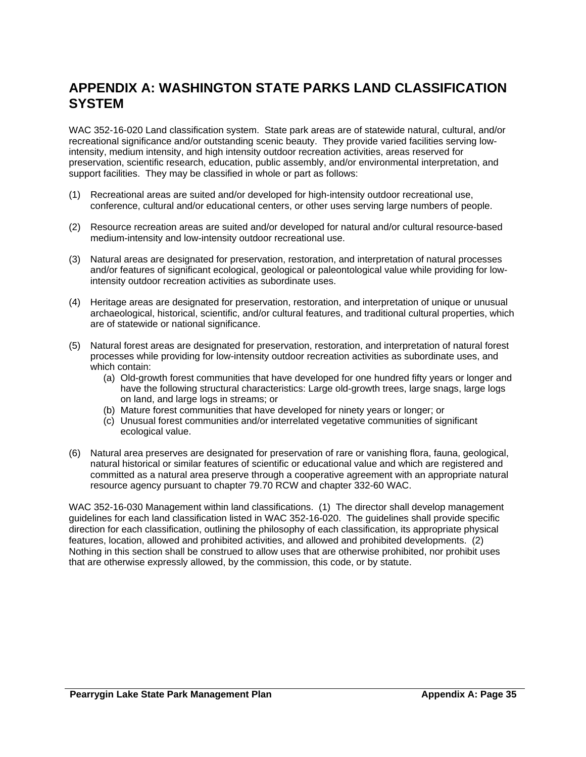# <span id="page-34-0"></span>**APPENDIX A: WASHINGTON STATE PARKS LAND CLASSIFICATION SYSTEM**

WAC 352-16-020 Land classification system. State park areas are of statewide natural, cultural, and/or recreational significance and/or outstanding scenic beauty. They provide varied facilities serving lowintensity, medium intensity, and high intensity outdoor recreation activities, areas reserved for preservation, scientific research, education, public assembly, and/or environmental interpretation, and support facilities. They may be classified in whole or part as follows:

- (1) Recreational areas are suited and/or developed for high-intensity outdoor recreational use, conference, cultural and/or educational centers, or other uses serving large numbers of people.
- (2) Resource recreation areas are suited and/or developed for natural and/or cultural resource-based medium-intensity and low-intensity outdoor recreational use.
- (3) Natural areas are designated for preservation, restoration, and interpretation of natural processes and/or features of significant ecological, geological or paleontological value while providing for lowintensity outdoor recreation activities as subordinate uses.
- (4) Heritage areas are designated for preservation, restoration, and interpretation of unique or unusual archaeological, historical, scientific, and/or cultural features, and traditional cultural properties, which are of statewide or national significance.
- (5) Natural forest areas are designated for preservation, restoration, and interpretation of natural forest processes while providing for low-intensity outdoor recreation activities as subordinate uses, and which contain:
	- (a) Old-growth forest communities that have developed for one hundred fifty years or longer and have the following structural characteristics: Large old-growth trees, large snags, large logs on land, and large logs in streams; or
	- (b) Mature forest communities that have developed for ninety years or longer; or
	- (c) Unusual forest communities and/or interrelated vegetative communities of significant ecological value.
- (6) Natural area preserves are designated for preservation of rare or vanishing flora, fauna, geological, natural historical or similar features of scientific or educational value and which are registered and committed as a natural area preserve through a cooperative agreement with an appropriate natural resource agency pursuant to chapter 79.70 RCW and chapter 332-60 WAC.

WAC 352-16-030 Management within land classifications. (1) The director shall develop management guidelines for each land classification listed in WAC 352-16-020. The guidelines shall provide specific direction for each classification, outlining the philosophy of each classification, its appropriate physical features, location, allowed and prohibited activities, and allowed and prohibited developments. (2) Nothing in this section shall be construed to allow uses that are otherwise prohibited, nor prohibit uses that are otherwise expressly allowed, by the commission, this code, or by statute.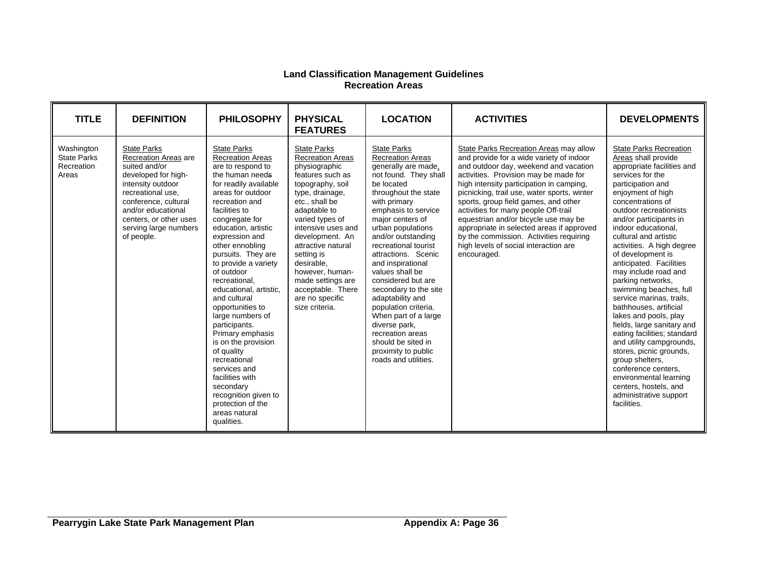#### **Land Classification Management Guidelines Recreation Areas**

| <b>TITLE</b>                                            | <b>DEFINITION</b>                                                                                                                                                                                                                           | <b>PHILOSOPHY</b>                                                                                                                                                                                                                                                                                                                                                                                                                                                                                                                                                                                                                         | <b>PHYSICAL</b><br><b>FEATURES</b>                                                                                                                                                                                                                                                                                                                                          | <b>LOCATION</b>                                                                                                                                                                                                                                                                                                                                                                                                                                                                                                                                               | <b>ACTIVITIES</b>                                                                                                                                                                                                                                                                                                                                                                                                                                                                                                                       | <b>DEVELOPMENTS</b>                                                                                                                                                                                                                                                                                                                                                                                                                                                                                                                                                                                                                                                                                                                                                    |
|---------------------------------------------------------|---------------------------------------------------------------------------------------------------------------------------------------------------------------------------------------------------------------------------------------------|-------------------------------------------------------------------------------------------------------------------------------------------------------------------------------------------------------------------------------------------------------------------------------------------------------------------------------------------------------------------------------------------------------------------------------------------------------------------------------------------------------------------------------------------------------------------------------------------------------------------------------------------|-----------------------------------------------------------------------------------------------------------------------------------------------------------------------------------------------------------------------------------------------------------------------------------------------------------------------------------------------------------------------------|---------------------------------------------------------------------------------------------------------------------------------------------------------------------------------------------------------------------------------------------------------------------------------------------------------------------------------------------------------------------------------------------------------------------------------------------------------------------------------------------------------------------------------------------------------------|-----------------------------------------------------------------------------------------------------------------------------------------------------------------------------------------------------------------------------------------------------------------------------------------------------------------------------------------------------------------------------------------------------------------------------------------------------------------------------------------------------------------------------------------|------------------------------------------------------------------------------------------------------------------------------------------------------------------------------------------------------------------------------------------------------------------------------------------------------------------------------------------------------------------------------------------------------------------------------------------------------------------------------------------------------------------------------------------------------------------------------------------------------------------------------------------------------------------------------------------------------------------------------------------------------------------------|
| Washington<br><b>State Parks</b><br>Recreation<br>Areas | <b>State Parks</b><br>Recreation Areas are<br>suited and/or<br>developed for high-<br>intensity outdoor<br>recreational use.<br>conference, cultural<br>and/or educational<br>centers, or other uses<br>serving large numbers<br>of people. | <b>State Parks</b><br><b>Recreation Areas</b><br>are to respond to<br>the human needs<br>for readily available<br>areas for outdoor<br>recreation and<br>facilities to<br>congregate for<br>education, artistic<br>expression and<br>other ennobling<br>pursuits. They are<br>to provide a variety<br>of outdoor<br>recreational.<br>educational, artistic,<br>and cultural<br>opportunities to<br>large numbers of<br>participants.<br>Primary emphasis<br>is on the provision<br>of quality<br>recreational<br>services and<br>facilities with<br>secondary<br>recognition given to<br>protection of the<br>areas natural<br>qualities. | <b>State Parks</b><br><b>Recreation Areas</b><br>physiographic<br>features such as<br>topography, soil<br>type, drainage,<br>etc., shall be<br>adaptable to<br>varied types of<br>intensive uses and<br>development. An<br>attractive natural<br>setting is<br>desirable.<br>however, human-<br>made settings are<br>acceptable. There<br>are no specific<br>size criteria. | <b>State Parks</b><br><b>Recreation Areas</b><br>generally are made,<br>not found. They shall<br>be located<br>throughout the state<br>with primary<br>emphasis to service<br>major centers of<br>urban populations<br>and/or outstanding<br>recreational tourist<br>attractions. Scenic<br>and inspirational<br>values shall be<br>considered but are<br>secondary to the site<br>adaptability and<br>population criteria.<br>When part of a large<br>diverse park,<br>recreation areas<br>should be sited in<br>proximity to public<br>roads and utilities. | State Parks Recreation Areas may allow<br>and provide for a wide variety of indoor<br>and outdoor day, weekend and vacation<br>activities. Provision may be made for<br>high intensity participation in camping,<br>picnicking, trail use, water sports, winter<br>sports, group field games, and other<br>activities for many people Off-trail<br>equestrian and/or bicycle use may be<br>appropriate in selected areas if approved<br>by the commission. Activities requiring<br>high levels of social interaction are<br>encouraged. | <b>State Parks Recreation</b><br>Areas shall provide<br>appropriate facilities and<br>services for the<br>participation and<br>enjoyment of high<br>concentrations of<br>outdoor recreationists<br>and/or participants in<br>indoor educational.<br>cultural and artistic<br>activities. A high degree<br>of development is<br>anticipated. Facilities<br>may include road and<br>parking networks,<br>swimming beaches, full<br>service marinas, trails,<br>bathhouses, artificial<br>lakes and pools, play<br>fields, large sanitary and<br>eating facilities; standard<br>and utility campgrounds,<br>stores, picnic grounds,<br>group shelters,<br>conference centers.<br>environmental learning<br>centers, hostels, and<br>administrative support<br>facilities. |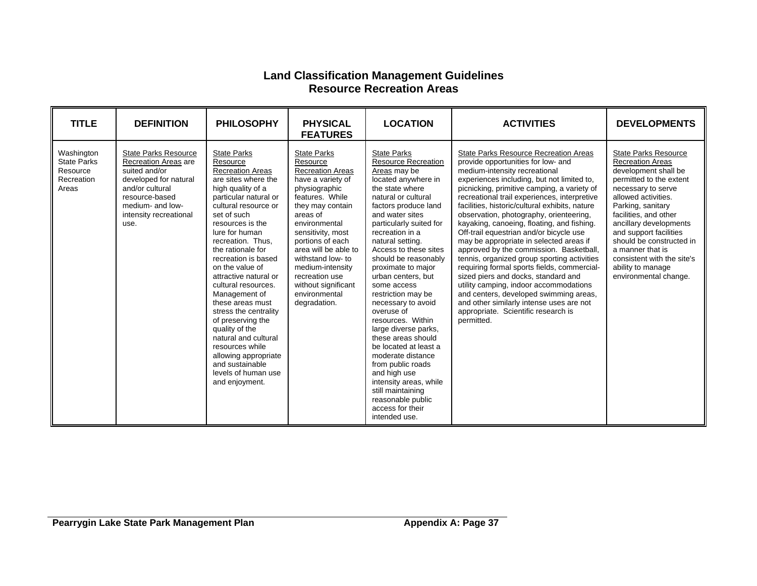### **Land Classification Management Guidelines Resource Recreation Areas**

| <b>TITLE</b>                                                        | <b>DEFINITION</b>                                                                                                                                                                        | <b>PHILOSOPHY</b>                                                                                                                                                                                                                                                                                                                                                                                                                                                                                                                                                                   | <b>PHYSICAL</b><br><b>FEATURES</b>                                                                                                                                                                                                                                                                                                                      | <b>LOCATION</b>                                                                                                                                                                                                                                                                                                                                                                                                                                                                                                                                                                                                                                                                     | <b>ACTIVITIES</b>                                                                                                                                                                                                                                                                                                                                                                                                                                                                                                                                                                                                                                                                                                                                                                                                                                                      | <b>DEVELOPMENTS</b>                                                                                                                                                                                                                                                                                                                                                                  |
|---------------------------------------------------------------------|------------------------------------------------------------------------------------------------------------------------------------------------------------------------------------------|-------------------------------------------------------------------------------------------------------------------------------------------------------------------------------------------------------------------------------------------------------------------------------------------------------------------------------------------------------------------------------------------------------------------------------------------------------------------------------------------------------------------------------------------------------------------------------------|---------------------------------------------------------------------------------------------------------------------------------------------------------------------------------------------------------------------------------------------------------------------------------------------------------------------------------------------------------|-------------------------------------------------------------------------------------------------------------------------------------------------------------------------------------------------------------------------------------------------------------------------------------------------------------------------------------------------------------------------------------------------------------------------------------------------------------------------------------------------------------------------------------------------------------------------------------------------------------------------------------------------------------------------------------|------------------------------------------------------------------------------------------------------------------------------------------------------------------------------------------------------------------------------------------------------------------------------------------------------------------------------------------------------------------------------------------------------------------------------------------------------------------------------------------------------------------------------------------------------------------------------------------------------------------------------------------------------------------------------------------------------------------------------------------------------------------------------------------------------------------------------------------------------------------------|--------------------------------------------------------------------------------------------------------------------------------------------------------------------------------------------------------------------------------------------------------------------------------------------------------------------------------------------------------------------------------------|
| Washington<br><b>State Parks</b><br>Resource<br>Recreation<br>Areas | <b>State Parks Resource</b><br>Recreation Areas are<br>suited and/or<br>developed for natural<br>and/or cultural<br>resource-based<br>medium- and low-<br>intensity recreational<br>use. | <b>State Parks</b><br>Resource<br><b>Recreation Areas</b><br>are sites where the<br>high quality of a<br>particular natural or<br>cultural resource or<br>set of such<br>resources is the<br>lure for human<br>recreation. Thus,<br>the rationale for<br>recreation is based<br>on the value of<br>attractive natural or<br>cultural resources.<br>Management of<br>these areas must<br>stress the centrality<br>of preserving the<br>quality of the<br>natural and cultural<br>resources while<br>allowing appropriate<br>and sustainable<br>levels of human use<br>and enjoyment. | <b>State Parks</b><br>Resource<br><b>Recreation Areas</b><br>have a variety of<br>physiographic<br>features. While<br>they may contain<br>areas of<br>environmental<br>sensitivity, most<br>portions of each<br>area will be able to<br>withstand low- to<br>medium-intensity<br>recreation use<br>without significant<br>environmental<br>degradation. | <b>State Parks</b><br><b>Resource Recreation</b><br>Areas may be<br>located anywhere in<br>the state where<br>natural or cultural<br>factors produce land<br>and water sites<br>particularly suited for<br>recreation in a<br>natural setting.<br>Access to these sites<br>should be reasonably<br>proximate to major<br>urban centers, but<br>some access<br>restriction may be<br>necessary to avoid<br>overuse of<br>resources. Within<br>large diverse parks,<br>these areas should<br>be located at least a<br>moderate distance<br>from public roads<br>and high use<br>intensity areas, while<br>still maintaining<br>reasonable public<br>access for their<br>intended use. | <b>State Parks Resource Recreation Areas</b><br>provide opportunities for low- and<br>medium-intensity recreational<br>experiences including, but not limited to,<br>picnicking, primitive camping, a variety of<br>recreational trail experiences, interpretive<br>facilities, historic/cultural exhibits, nature<br>observation, photography, orienteering,<br>kayaking, canoeing, floating, and fishing.<br>Off-trail equestrian and/or bicycle use<br>may be appropriate in selected areas if<br>approved by the commission. Basketball,<br>tennis, organized group sporting activities<br>requiring formal sports fields, commercial-<br>sized piers and docks, standard and<br>utility camping, indoor accommodations<br>and centers, developed swimming areas,<br>and other similarly intense uses are not<br>appropriate. Scientific research is<br>permitted. | <b>State Parks Resource</b><br><b>Recreation Areas</b><br>development shall be<br>permitted to the extent<br>necessary to serve<br>allowed activities.<br>Parking, sanitary<br>facilities, and other<br>ancillary developments<br>and support facilities<br>should be constructed in<br>a manner that is<br>consistent with the site's<br>ability to manage<br>environmental change. |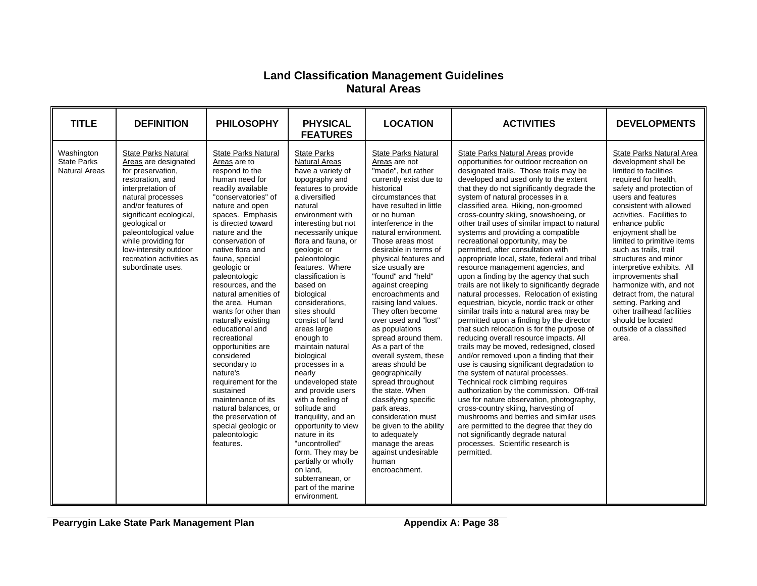### **Land Classification Management Guidelines Natural Areas**

| <b>TITLE</b>                                             | <b>DEFINITION</b>                                                                                                                                                                                                                                                                                                                 | <b>PHILOSOPHY</b>                                                                                                                                                                                                                                                                                                                                                                                                                                                                                                                                                                                                                                                                 | <b>PHYSICAL</b><br><b>FEATURES</b>                                                                                                                                                                                                                                                                                                                                                                                                                                                                                                                                                                                                                                                                                                                               | <b>LOCATION</b>                                                                                                                                                                                                                                                                                                                                                                                                                                                                                                                                                                                                                                                                                                                                                                                         | <b>ACTIVITIES</b>                                                                                                                                                                                                                                                                                                                                                                                                                                                                                                                                                                                                                                                                                                                                                                                                                                                                                                                                                                                                                                                                                                                                                                                                                                                                                                                                                                                                                                                                           | <b>DEVELOPMENTS</b>                                                                                                                                                                                                                                                                                                                                                                                                                                                                                                                                           |
|----------------------------------------------------------|-----------------------------------------------------------------------------------------------------------------------------------------------------------------------------------------------------------------------------------------------------------------------------------------------------------------------------------|-----------------------------------------------------------------------------------------------------------------------------------------------------------------------------------------------------------------------------------------------------------------------------------------------------------------------------------------------------------------------------------------------------------------------------------------------------------------------------------------------------------------------------------------------------------------------------------------------------------------------------------------------------------------------------------|------------------------------------------------------------------------------------------------------------------------------------------------------------------------------------------------------------------------------------------------------------------------------------------------------------------------------------------------------------------------------------------------------------------------------------------------------------------------------------------------------------------------------------------------------------------------------------------------------------------------------------------------------------------------------------------------------------------------------------------------------------------|---------------------------------------------------------------------------------------------------------------------------------------------------------------------------------------------------------------------------------------------------------------------------------------------------------------------------------------------------------------------------------------------------------------------------------------------------------------------------------------------------------------------------------------------------------------------------------------------------------------------------------------------------------------------------------------------------------------------------------------------------------------------------------------------------------|---------------------------------------------------------------------------------------------------------------------------------------------------------------------------------------------------------------------------------------------------------------------------------------------------------------------------------------------------------------------------------------------------------------------------------------------------------------------------------------------------------------------------------------------------------------------------------------------------------------------------------------------------------------------------------------------------------------------------------------------------------------------------------------------------------------------------------------------------------------------------------------------------------------------------------------------------------------------------------------------------------------------------------------------------------------------------------------------------------------------------------------------------------------------------------------------------------------------------------------------------------------------------------------------------------------------------------------------------------------------------------------------------------------------------------------------------------------------------------------------|---------------------------------------------------------------------------------------------------------------------------------------------------------------------------------------------------------------------------------------------------------------------------------------------------------------------------------------------------------------------------------------------------------------------------------------------------------------------------------------------------------------------------------------------------------------|
| Washington<br><b>State Parks</b><br><b>Natural Areas</b> | <b>State Parks Natural</b><br>Areas are designated<br>for preservation,<br>restoration, and<br>interpretation of<br>natural processes<br>and/or features of<br>significant ecological,<br>geological or<br>paleontological value<br>while providing for<br>low-intensity outdoor<br>recreation activities as<br>subordinate uses. | <b>State Parks Natural</b><br>Areas are to<br>respond to the<br>human need for<br>readily available<br>"conservatories" of<br>nature and open<br>spaces. Emphasis<br>is directed toward<br>nature and the<br>conservation of<br>native flora and<br>fauna, special<br>geologic or<br>paleontologic<br>resources, and the<br>natural amenities of<br>the area. Human<br>wants for other than<br>naturally existing<br>educational and<br>recreational<br>opportunities are<br>considered<br>secondary to<br>nature's<br>requirement for the<br>sustained<br>maintenance of its<br>natural balances, or<br>the preservation of<br>special geologic or<br>paleontologic<br>features. | <b>State Parks</b><br><b>Natural Areas</b><br>have a variety of<br>topography and<br>features to provide<br>a diversified<br>natural<br>environment with<br>interesting but not<br>necessarily unique<br>flora and fauna, or<br>geologic or<br>paleontologic<br>features. Where<br>classification is<br>based on<br>biological<br>considerations.<br>sites should<br>consist of land<br>areas large<br>enough to<br>maintain natural<br>biological<br>processes in a<br>nearly<br>undeveloped state<br>and provide users<br>with a feeling of<br>solitude and<br>tranguility, and an<br>opportunity to view<br>nature in its<br>"uncontrolled"<br>form. They may be<br>partially or wholly<br>on land.<br>subterranean, or<br>part of the marine<br>environment. | <b>State Parks Natural</b><br>Areas are not<br>"made", but rather<br>currently exist due to<br>historical<br>circumstances that<br>have resulted in little<br>or no human<br>interference in the<br>natural environment.<br>Those areas most<br>desirable in terms of<br>physical features and<br>size usually are<br>"found" and "held"<br>against creeping<br>encroachments and<br>raising land values.<br>They often become<br>over used and "lost"<br>as populations<br>spread around them.<br>As a part of the<br>overall system, these<br>areas should be<br>geographically<br>spread throughout<br>the state. When<br>classifying specific<br>park areas.<br>consideration must<br>be given to the ability<br>to adequately<br>manage the areas<br>against undesirable<br>human<br>encroachment. | State Parks Natural Areas provide<br>opportunities for outdoor recreation on<br>designated trails. Those trails may be<br>developed and used only to the extent<br>that they do not significantly degrade the<br>system of natural processes in a<br>classified area. Hiking, non-groomed<br>cross-country skiing, snowshoeing, or<br>other trail uses of similar impact to natural<br>systems and providing a compatible<br>recreational opportunity, may be<br>permitted, after consultation with<br>appropriate local, state, federal and tribal<br>resource management agencies, and<br>upon a finding by the agency that such<br>trails are not likely to significantly degrade<br>natural processes. Relocation of existing<br>equestrian, bicycle, nordic track or other<br>similar trails into a natural area may be<br>permitted upon a finding by the director<br>that such relocation is for the purpose of<br>reducing overall resource impacts. All<br>trails may be moved, redesigned, closed<br>and/or removed upon a finding that their<br>use is causing significant degradation to<br>the system of natural processes.<br>Technical rock climbing requires<br>authorization by the commission. Off-trail<br>use for nature observation, photography,<br>cross-country skiing, harvesting of<br>mushrooms and berries and similar uses<br>are permitted to the degree that they do<br>not significantly degrade natural<br>processes. Scientific research is<br>permitted. | State Parks Natural Area<br>development shall be<br>limited to facilities<br>required for health,<br>safety and protection of<br>users and features<br>consistent with allowed<br>activities. Facilities to<br>enhance public<br>enjoyment shall be<br>limited to primitive items<br>such as trails, trail<br>structures and minor<br>interpretive exhibits. All<br>improvements shall<br>harmonize with, and not<br>detract from, the natural<br>setting. Parking and<br>other trailhead facilities<br>should be located<br>outside of a classified<br>area. |

**Pearrygin Lake State Park Management Plan Appendix A: Page 38**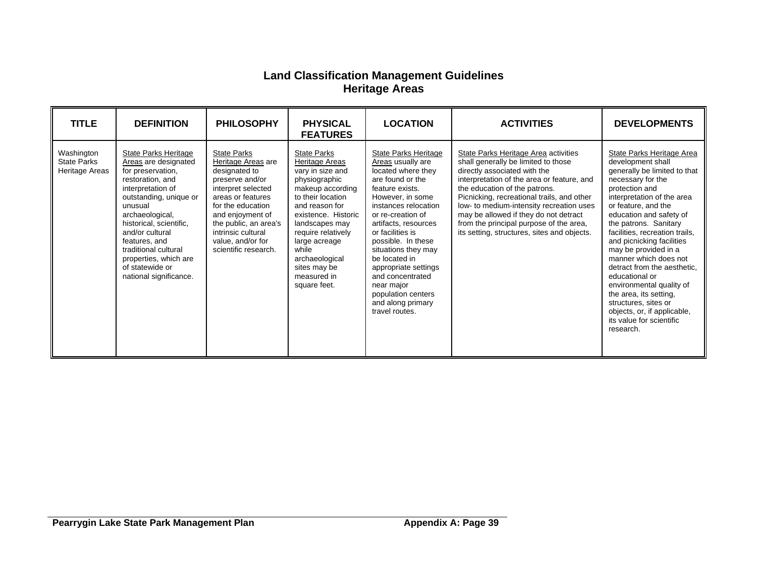### **Land Classification Management Guidelines Heritage Areas**

| <b>TITLE</b>                                       | <b>DEFINITION</b>                                                                                                                                                                                                                                                                                                                      | <b>PHILOSOPHY</b>                                                                                                                                                                                                                                            | <b>PHYSICAL</b><br><b>FEATURES</b>                                                                                                                                                                                                                                                             | <b>LOCATION</b>                                                                                                                                                                                                                                                                                                                                                                                                 | <b>ACTIVITIES</b>                                                                                                                                                                                                                                                                                                                                                                                                       | <b>DEVELOPMENTS</b>                                                                                                                                                                                                                                                                                                                                                                                                                                                                                                                                   |
|----------------------------------------------------|----------------------------------------------------------------------------------------------------------------------------------------------------------------------------------------------------------------------------------------------------------------------------------------------------------------------------------------|--------------------------------------------------------------------------------------------------------------------------------------------------------------------------------------------------------------------------------------------------------------|------------------------------------------------------------------------------------------------------------------------------------------------------------------------------------------------------------------------------------------------------------------------------------------------|-----------------------------------------------------------------------------------------------------------------------------------------------------------------------------------------------------------------------------------------------------------------------------------------------------------------------------------------------------------------------------------------------------------------|-------------------------------------------------------------------------------------------------------------------------------------------------------------------------------------------------------------------------------------------------------------------------------------------------------------------------------------------------------------------------------------------------------------------------|-------------------------------------------------------------------------------------------------------------------------------------------------------------------------------------------------------------------------------------------------------------------------------------------------------------------------------------------------------------------------------------------------------------------------------------------------------------------------------------------------------------------------------------------------------|
| Washington<br><b>State Parks</b><br>Heritage Areas | <b>State Parks Heritage</b><br>Areas are designated<br>for preservation,<br>restoration, and<br>interpretation of<br>outstanding, unique or<br>unusual<br>archaeological,<br>historical, scientific,<br>and/or cultural<br>features, and<br>traditional cultural<br>properties, which are<br>of statewide or<br>national significance. | <b>State Parks</b><br>Heritage Areas are<br>designated to<br>preserve and/or<br>interpret selected<br>areas or features<br>for the education<br>and enjoyment of<br>the public, an area's<br>intrinsic cultural<br>value, and/or for<br>scientific research. | <b>State Parks</b><br>Heritage Areas<br>vary in size and<br>physiographic<br>makeup according<br>to their location<br>and reason for<br>existence. Historic<br>landscapes may<br>require relatively<br>large acreage<br>while<br>archaeological<br>sites may be<br>measured in<br>square feet. | <b>State Parks Heritage</b><br>Areas usually are<br>located where they<br>are found or the<br>feature exists.<br>However, in some<br>instances relocation<br>or re-creation of<br>artifacts, resources<br>or facilities is<br>possible. In these<br>situations they may<br>be located in<br>appropriate settings<br>and concentrated<br>near major<br>population centers<br>and along primary<br>travel routes. | State Parks Heritage Area activities<br>shall generally be limited to those<br>directly associated with the<br>interpretation of the area or feature, and<br>the education of the patrons.<br>Picnicking, recreational trails, and other<br>low- to medium-intensity recreation uses<br>may be allowed if they do not detract<br>from the principal purpose of the area,<br>its setting, structures, sites and objects. | State Parks Heritage Area<br>development shall<br>generally be limited to that<br>necessary for the<br>protection and<br>interpretation of the area<br>or feature, and the<br>education and safety of<br>the patrons. Sanitary<br>facilities, recreation trails,<br>and picnicking facilities<br>may be provided in a<br>manner which does not<br>detract from the aesthetic.<br>educational or<br>environmental quality of<br>the area, its setting,<br>structures, sites or<br>objects, or, if applicable,<br>its value for scientific<br>research. |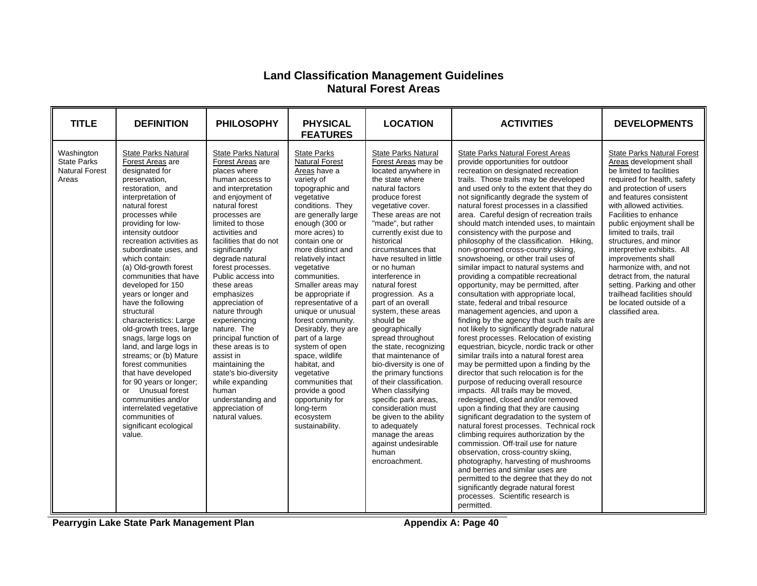### **Land Classification Management Guidelines Natural Forest Areas**

| <b>TITLE</b>                                                       | <b>DEFINITION</b>                                                                                                                                                                                                                                                                                                                                                                                                                                                                                                                                                                                                                                                                                                                                         | <b>PHILOSOPHY</b>                                                                                                                                                                                                                                                                                                                                                                                                                                                                                                                                                                                     | <b>PHYSICAL</b><br><b>FEATURES</b>                                                                                                                                                                                                                                                                                                                                                                                                                                                                                                                                                                                | <b>LOCATION</b>                                                                                                                                                                                                                                                                                                                                                                                                                                                                                                                                                                                                                                                                                                                                                                           | <b>ACTIVITIES</b>                                                                                                                                                                                                                                                                                                                                                                                                                                                                                                                                                                                                                                                                                                                                                                                                                                                                                                                                                                                                                                                                                                                                                                                                                                                                                                                                                                                                                                                                                                                                                                                                                                                                                                    | <b>DEVELOPMENTS</b>                                                                                                                                                                                                                                                                                                                                                                                                                                                                                                                          |
|--------------------------------------------------------------------|-----------------------------------------------------------------------------------------------------------------------------------------------------------------------------------------------------------------------------------------------------------------------------------------------------------------------------------------------------------------------------------------------------------------------------------------------------------------------------------------------------------------------------------------------------------------------------------------------------------------------------------------------------------------------------------------------------------------------------------------------------------|-------------------------------------------------------------------------------------------------------------------------------------------------------------------------------------------------------------------------------------------------------------------------------------------------------------------------------------------------------------------------------------------------------------------------------------------------------------------------------------------------------------------------------------------------------------------------------------------------------|-------------------------------------------------------------------------------------------------------------------------------------------------------------------------------------------------------------------------------------------------------------------------------------------------------------------------------------------------------------------------------------------------------------------------------------------------------------------------------------------------------------------------------------------------------------------------------------------------------------------|-------------------------------------------------------------------------------------------------------------------------------------------------------------------------------------------------------------------------------------------------------------------------------------------------------------------------------------------------------------------------------------------------------------------------------------------------------------------------------------------------------------------------------------------------------------------------------------------------------------------------------------------------------------------------------------------------------------------------------------------------------------------------------------------|----------------------------------------------------------------------------------------------------------------------------------------------------------------------------------------------------------------------------------------------------------------------------------------------------------------------------------------------------------------------------------------------------------------------------------------------------------------------------------------------------------------------------------------------------------------------------------------------------------------------------------------------------------------------------------------------------------------------------------------------------------------------------------------------------------------------------------------------------------------------------------------------------------------------------------------------------------------------------------------------------------------------------------------------------------------------------------------------------------------------------------------------------------------------------------------------------------------------------------------------------------------------------------------------------------------------------------------------------------------------------------------------------------------------------------------------------------------------------------------------------------------------------------------------------------------------------------------------------------------------------------------------------------------------------------------------------------------------|----------------------------------------------------------------------------------------------------------------------------------------------------------------------------------------------------------------------------------------------------------------------------------------------------------------------------------------------------------------------------------------------------------------------------------------------------------------------------------------------------------------------------------------------|
| Washington<br><b>State Parks</b><br><b>Natural Forest</b><br>Areas | <b>State Parks Natural</b><br>Forest Areas are<br>designated for<br>preservation,<br>restoration, and<br>interpretation of<br>natural forest<br>processes while<br>providing for low-<br>intensity outdoor<br>recreation activities as<br>subordinate uses, and<br>which contain:<br>(a) Old-growth forest<br>communities that have<br>developed for 150<br>years or longer and<br>have the following<br>structural<br>characteristics: Large<br>old-growth trees, large<br>snags, large logs on<br>land, and large logs in<br>streams; or (b) Mature<br>forest communities<br>that have developed<br>for 90 years or longer;<br>or Unusual forest<br>communities and/or<br>interrelated vegetative<br>communities of<br>significant ecological<br>value. | State Parks Natural<br>Forest Areas are<br>places where<br>human access to<br>and interpretation<br>and enjoyment of<br>natural forest<br>processes are<br>limited to those<br>activities and<br>facilities that do not<br>significantly<br>degrade natural<br>forest processes.<br>Public access into<br>these areas<br>emphasizes<br>appreciation of<br>nature through<br>experiencing<br>nature. The<br>principal function of<br>these areas is to<br>assist in<br>maintaining the<br>state's bio-diversity<br>while expanding<br>human<br>understanding and<br>appreciation of<br>natural values. | <b>State Parks</b><br><b>Natural Forest</b><br>Areas have a<br>variety of<br>topographic and<br>vegetative<br>conditions. They<br>are generally large<br>enough (300 or<br>more acres) to<br>contain one or<br>more distinct and<br>relatively intact<br>vegetative<br>communities.<br>Smaller areas may<br>be appropriate if<br>representative of a<br>unique or unusual<br>forest community.<br>Desirably, they are<br>part of a large<br>system of open<br>space, wildlife<br>habitat, and<br>vegetative<br>communities that<br>provide a good<br>opportunity for<br>long-term<br>ecosystem<br>sustainability. | <b>State Parks Natural</b><br>Forest Areas may be<br>located anywhere in<br>the state where<br>natural factors<br>produce forest<br>vegetative cover.<br>These areas are not<br>"made", but rather<br>currently exist due to<br>historical<br>circumstances that<br>have resulted in little<br>or no human<br>interference in<br>natural forest<br>progression. As a<br>part of an overall<br>system, these areas<br>should be<br>geographically<br>spread throughout<br>the state, recognizing<br>that maintenance of<br>bio-diversity is one of<br>the primary functions<br>of their classification.<br>When classifying<br>specific park areas,<br>consideration must<br>be given to the ability<br>to adequately<br>manage the areas<br>against undesirable<br>human<br>encroachment. | <b>State Parks Natural Forest Areas</b><br>provide opportunities for outdoor<br>recreation on designated recreation<br>trails. Those trails may be developed<br>and used only to the extent that they do<br>not significantly degrade the system of<br>natural forest processes in a classified<br>area. Careful design of recreation trails<br>should match intended uses, to maintain<br>consistency with the purpose and<br>philosophy of the classification. Hiking,<br>non-groomed cross-country skiing,<br>snowshoeing, or other trail uses of<br>similar impact to natural systems and<br>providing a compatible recreational<br>opportunity, may be permitted, after<br>consultation with appropriate local,<br>state, federal and tribal resource<br>management agencies, and upon a<br>finding by the agency that such trails are<br>not likely to significantly degrade natural<br>forest processes. Relocation of existing<br>equestrian, bicycle, nordic track or other<br>similar trails into a natural forest area<br>may be permitted upon a finding by the<br>director that such relocation is for the<br>purpose of reducing overall resource<br>impacts. All trails may be moved,<br>redesigned, closed and/or removed<br>upon a finding that they are causing<br>significant degradation to the system of<br>natural forest processes. Technical rock<br>climbing requires authorization by the<br>commission. Off-trail use for nature<br>observation, cross-country skiing,<br>photography, harvesting of mushrooms<br>and berries and similar uses are<br>permitted to the degree that they do not<br>significantly degrade natural forest<br>processes. Scientific research is<br>permitted. | <b>State Parks Natural Forest</b><br>Areas development shall<br>be limited to facilities<br>required for health, safety<br>and protection of users<br>and features consistent<br>with allowed activities.<br>Facilities to enhance<br>public enjoyment shall be<br>limited to trails, trail<br>structures, and minor<br>interpretive exhibits. All<br>improvements shall<br>harmonize with, and not<br>detract from, the natural<br>setting. Parking and other<br>trailhead facilities should<br>be located outside of a<br>classified area. |

**Pearrygin Lake State Park Management Plan Appendix A: Page 40**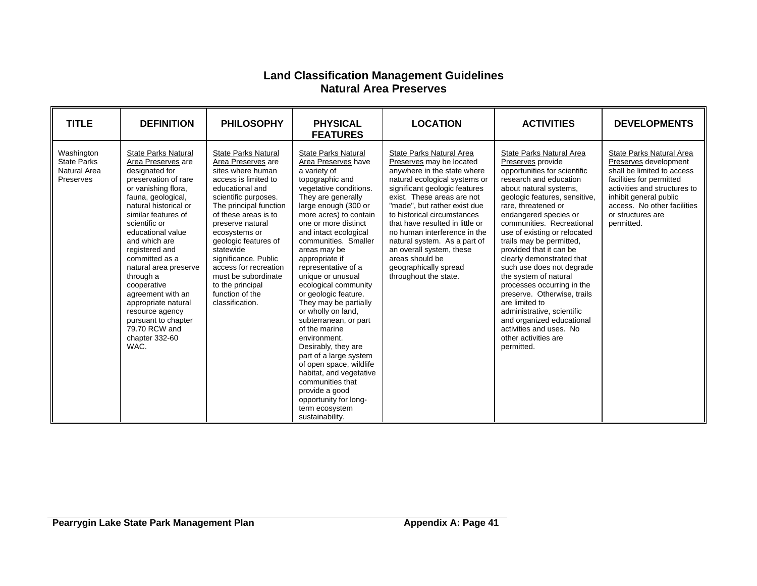### **Land Classification Management Guidelines Natural Area Preserves**

<span id="page-40-0"></span>

| <b>TITLE</b>                                                  | <b>DEFINITION</b>                                                                                                                                                                                                                                                                                                                                                                                                                                                        | <b>PHILOSOPHY</b>                                                                                                                                                                                                                                                                                                                                                                                      | <b>PHYSICAL</b><br><b>FEATURES</b>                                                                                                                                                                                                                                                                                                                                                                                                                                                                                                                                                                                                                                                                                | <b>LOCATION</b>                                                                                                                                                                                                                                                                                                                                                                                                                                        | <b>ACTIVITIES</b>                                                                                                                                                                                                                                                                                                                                                                                                                                                                                                                                                                                                                    | <b>DEVELOPMENTS</b>                                                                                                                                                                                                                     |
|---------------------------------------------------------------|--------------------------------------------------------------------------------------------------------------------------------------------------------------------------------------------------------------------------------------------------------------------------------------------------------------------------------------------------------------------------------------------------------------------------------------------------------------------------|--------------------------------------------------------------------------------------------------------------------------------------------------------------------------------------------------------------------------------------------------------------------------------------------------------------------------------------------------------------------------------------------------------|-------------------------------------------------------------------------------------------------------------------------------------------------------------------------------------------------------------------------------------------------------------------------------------------------------------------------------------------------------------------------------------------------------------------------------------------------------------------------------------------------------------------------------------------------------------------------------------------------------------------------------------------------------------------------------------------------------------------|--------------------------------------------------------------------------------------------------------------------------------------------------------------------------------------------------------------------------------------------------------------------------------------------------------------------------------------------------------------------------------------------------------------------------------------------------------|--------------------------------------------------------------------------------------------------------------------------------------------------------------------------------------------------------------------------------------------------------------------------------------------------------------------------------------------------------------------------------------------------------------------------------------------------------------------------------------------------------------------------------------------------------------------------------------------------------------------------------------|-----------------------------------------------------------------------------------------------------------------------------------------------------------------------------------------------------------------------------------------|
| Washington<br><b>State Parks</b><br>Natural Area<br>Preserves | <b>State Parks Natural</b><br>Area Preserves are<br>designated for<br>preservation of rare<br>or vanishing flora,<br>fauna, geological,<br>natural historical or<br>similar features of<br>scientific or<br>educational value<br>and which are<br>registered and<br>committed as a<br>natural area preserve<br>through a<br>cooperative<br>agreement with an<br>appropriate natural<br>resource agency<br>pursuant to chapter<br>79.70 RCW and<br>chapter 332-60<br>WAC. | <b>State Parks Natural</b><br>Area Preserves are<br>sites where human<br>access is limited to<br>educational and<br>scientific purposes.<br>The principal function<br>of these areas is to<br>preserve natural<br>ecosystems or<br>geologic features of<br>statewide<br>significance. Public<br>access for recreation<br>must be subordinate<br>to the principal<br>function of the<br>classification. | <b>State Parks Natural</b><br>Area Preserves have<br>a variety of<br>topographic and<br>vegetative conditions.<br>They are generally<br>large enough (300 or<br>more acres) to contain<br>one or more distinct<br>and intact ecological<br>communities. Smaller<br>areas may be<br>appropriate if<br>representative of a<br>unique or unusual<br>ecological community<br>or geologic feature.<br>They may be partially<br>or wholly on land,<br>subterranean, or part<br>of the marine<br>environment.<br>Desirably, they are<br>part of a large system<br>of open space, wildlife<br>habitat, and vegetative<br>communities that<br>provide a good<br>opportunity for long-<br>term ecosystem<br>sustainability. | State Parks Natural Area<br>Preserves may be located<br>anywhere in the state where<br>natural ecological systems or<br>significant geologic features<br>exist. These areas are not<br>"made", but rather exist due<br>to historical circumstances<br>that have resulted in little or<br>no human interference in the<br>natural system. As a part of<br>an overall system, these<br>areas should be<br>geographically spread<br>throughout the state. | State Parks Natural Area<br>Preserves provide<br>opportunities for scientific<br>research and education<br>about natural systems,<br>geologic features, sensitive,<br>rare, threatened or<br>endangered species or<br>communities. Recreational<br>use of existing or relocated<br>trails may be permitted,<br>provided that it can be<br>clearly demonstrated that<br>such use does not degrade<br>the system of natural<br>processes occurring in the<br>preserve. Otherwise, trails<br>are limited to<br>administrative, scientific<br>and organized educational<br>activities and uses. No<br>other activities are<br>permitted. | State Parks Natural Area<br>Preserves development<br>shall be limited to access<br>facilities for permitted<br>activities and structures to<br>inhibit general public<br>access. No other facilities<br>or structures are<br>permitted. |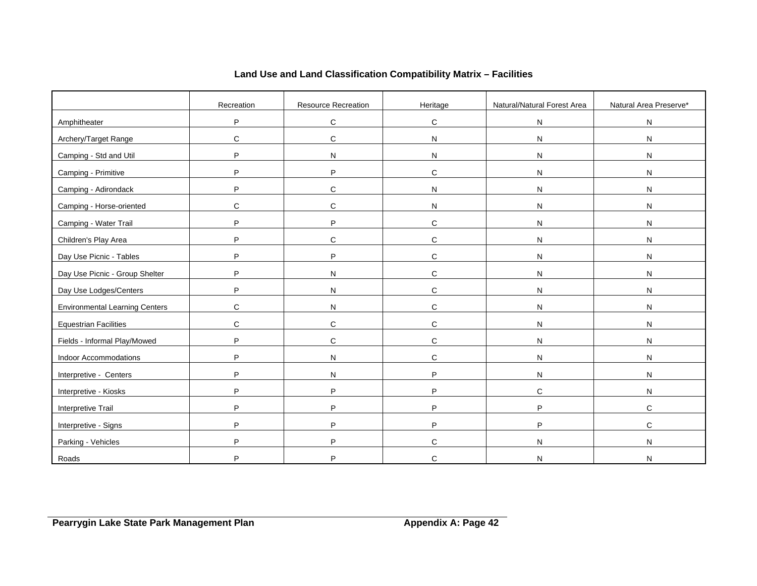|                                       | Recreation  | Resource Recreation | Heritage     | Natural/Natural Forest Area | Natural Area Preserve* |
|---------------------------------------|-------------|---------------------|--------------|-----------------------------|------------------------|
| Amphitheater                          | P           | ${\bf C}$           | $\mathbf C$  | ${\sf N}$                   | N                      |
| Archery/Target Range                  | C           | $\mathbf C$         | ${\sf N}$    | $\mathsf{N}$                | $\mathsf{N}$           |
| Camping - Std and Util                | P           | ${\sf N}$           | ${\sf N}$    | N                           | N                      |
| Camping - Primitive                   | P           | P                   | $\mathbf C$  | ${\sf N}$                   | ${\sf N}$              |
| Camping - Adirondack                  | P           | ${\bf C}$           | $\mathsf{N}$ | $\mathsf{N}$                | ${\sf N}$              |
| Camping - Horse-oriented              | $\mathbf C$ | $\mathbf C$         | ${\sf N}$    | ${\sf N}$                   | ${\sf N}$              |
| Camping - Water Trail                 | P           | P                   | $\mathbf C$  | ${\sf N}$                   | ${\sf N}$              |
| Children's Play Area                  | P           | $\mathbf C$         | $\mathbf C$  | ${\sf N}$                   | ${\sf N}$              |
| Day Use Picnic - Tables               | P           | P                   | C            | ${\sf N}$                   | ${\sf N}$              |
| Day Use Picnic - Group Shelter        | P           | N                   | $\mathbf C$  | ${\sf N}$                   | ${\sf N}$              |
| Day Use Lodges/Centers                | P           | ${\sf N}$           | $\mathbf C$  | $\mathsf{N}$                | ${\sf N}$              |
| <b>Environmental Learning Centers</b> | $\mathbf C$ | ${\sf N}$           | $\mathbf C$  | ${\sf N}$                   | ${\sf N}$              |
| <b>Equestrian Facilities</b>          | C           | $\mathbf C$         | $\mathbf C$  | ${\sf N}$                   | ${\sf N}$              |
| Fields - Informal Play/Mowed          | P           | C                   | C            | ${\sf N}$                   | ${\sf N}$              |
| Indoor Accommodations                 | P           | N                   | $\mathbf C$  | N                           | ${\sf N}$              |
| Interpretive - Centers                | P           | ${\sf N}$           | P            | $\mathsf{N}$                | ${\sf N}$              |
| Interpretive - Kiosks                 | P           | P                   | P            | $\mathbf C$                 | ${\sf N}$              |
| Interpretive Trail                    | P           | P                   | P            | P                           | $\mathbf C$            |
| Interpretive - Signs                  | P           | P                   | P            | P                           | $\mathbf C$            |
| Parking - Vehicles                    | P           | P                   | C            | N                           | ${\sf N}$              |
| Roads                                 | P           | P                   | C            | N                           | N                      |

# **Land Use and Land Classification Compatibility Matrix – Facilities**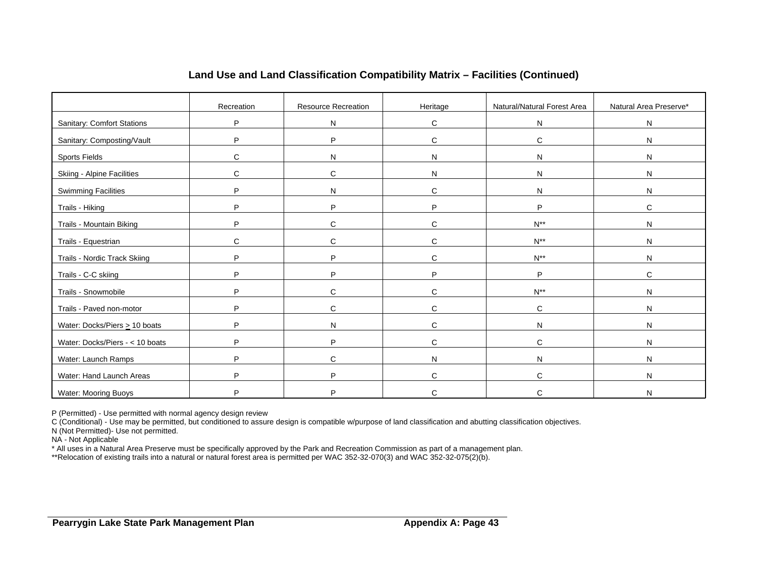|                                    | Recreation   | Resource Recreation | Heritage     | Natural/Natural Forest Area | Natural Area Preserve* |
|------------------------------------|--------------|---------------------|--------------|-----------------------------|------------------------|
| <b>Sanitary: Comfort Stations</b>  | P            | ${\sf N}$           | $\mathsf{C}$ | $\mathsf{N}$                | N                      |
| Sanitary: Composting/Vault         | P            | P                   | $\mathsf{C}$ | $\mathsf{C}$                | ${\sf N}$              |
| <b>Sports Fields</b>               | C            | N                   | N            | N                           | N                      |
| <b>Skiing - Alpine Facilities</b>  | C            | C                   | $\mathsf{N}$ | N                           | N                      |
| <b>Swimming Facilities</b>         | P            | N                   | $\mathsf{C}$ | N                           | N                      |
| Trails - Hiking                    | P            | P                   | P            | P                           | $\mathsf{C}$           |
| Trails - Mountain Biking           | P            | $\mathbf C$         | C            | $N^{**}$                    | N                      |
| Trails - Equestrian                | $\mathsf{C}$ | $\mathsf{C}$        | $\mathsf{C}$ | $N^{**}$                    | ${\sf N}$              |
| Trails - Nordic Track Skiing       | P            | P                   | C            | $N^{**}$                    | ${\sf N}$              |
| Trails - C-C skiing                | P            | P                   | P            | P                           | $\mathsf{C}$           |
| Trails - Snowmobile                | P            | $\mathbf C$         | $\mathsf{C}$ | $N^{**}$                    | N                      |
| Trails - Paved non-motor           | P            | $\mathbf C$         | C            | C                           | $\mathsf{N}$           |
| Water: Docks/Piers $\geq 10$ boats | P            | N                   | C            | N                           | N                      |
| Water: Docks/Piers - < 10 boats    | P            | P                   | $\mathsf{C}$ | $\mathsf{C}$                | ${\sf N}$              |
|                                    |              |                     |              |                             |                        |
| Water: Launch Ramps                | P            | $\mathbf C$         | N            | N                           | N                      |
| Water: Hand Launch Areas           | P            | P                   | C            | $\mathsf{C}$                | N                      |
| <b>Water: Mooring Buoys</b>        | P            | P                   | C            | C                           | N                      |

# **Land Use and Land Classification Compatibility Matrix – Facilities (Continued)**

P (Permitted) - Use permitted with normal agency design review

C (Conditional) - Use may be permitted, but conditioned to assure design is compatible w/purpose of land classification and abutting classification objectives.

N (Not Permitted)- Use not permitted.

NA - Not Applicable

\* All uses in a Natural Area Preserve must be specifically approved by the Park and Recreation Commission as part of a management plan.

\*\*Relocation of existing trails into a natural or natural forest area is permitted per WAC 352-32-070(3) and WAC 352-32-075(2)(b).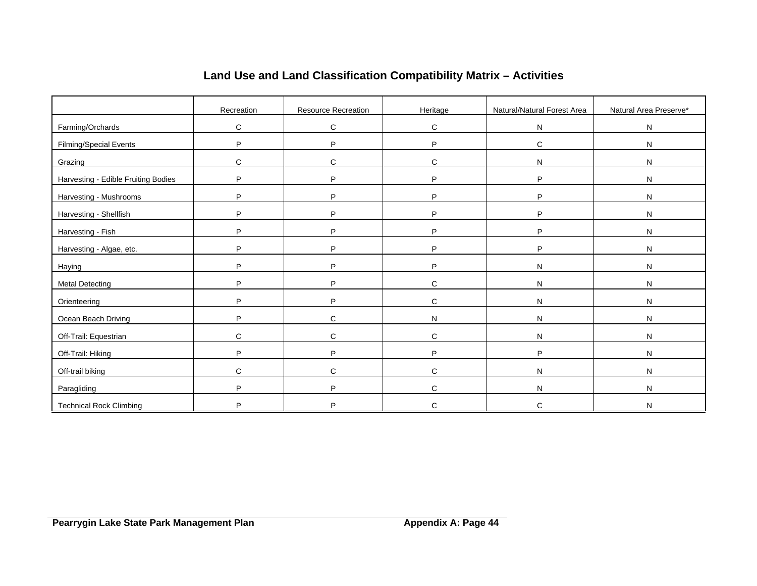|                                     | Recreation   | <b>Resource Recreation</b> | Heritage     | Natural/Natural Forest Area | Natural Area Preserve* |
|-------------------------------------|--------------|----------------------------|--------------|-----------------------------|------------------------|
| Farming/Orchards                    | C            | C                          | C            | N                           | ${\sf N}$              |
| Filming/Special Events              | P            | P                          | P            | $\mathbf C$                 | ${\sf N}$              |
| Grazing                             | С            | $\mathbf C$                | C            | N                           | N                      |
| Harvesting - Edible Fruiting Bodies | P            | P                          | P            | P                           | N                      |
| Harvesting - Mushrooms              | P            | P                          | P            | P                           | ${\sf N}$              |
| Harvesting - Shellfish              | P            | P                          | P            | P                           | ${\sf N}$              |
| Harvesting - Fish                   | P            | P                          | P            | P                           | N                      |
| Harvesting - Algae, etc.            | P            | P                          | P            | P                           | ${\sf N}$              |
| Haying                              | P            | P                          | P            | N                           | $\mathsf{N}$           |
| <b>Metal Detecting</b>              | P            | P                          | $\mathsf{C}$ | N                           | $\mathsf{N}$           |
| Orienteering                        | P            | P                          | $\mathsf{C}$ | N                           | N                      |
| Ocean Beach Driving                 | P            | $\mathsf{C}$               | N            | N                           | $\mathsf{N}$           |
| Off-Trail: Equestrian               | $\mathsf{C}$ | $\mathbf C$                | $\mathsf{C}$ | N                           | ${\sf N}$              |
| Off-Trail: Hiking                   | P            | P                          | P            | P                           | $\mathsf{N}$           |
| Off-trail biking                    | $\mathsf{C}$ | $\mathbf C$                | C            | N                           | N                      |
| Paragliding                         | P            | P                          | $\mathsf{C}$ | N                           | N                      |
| <b>Technical Rock Climbing</b>      | Þ            | P                          | C            | C                           | N                      |

# **Land Use and Land Classification Compatibility Matrix – Activities**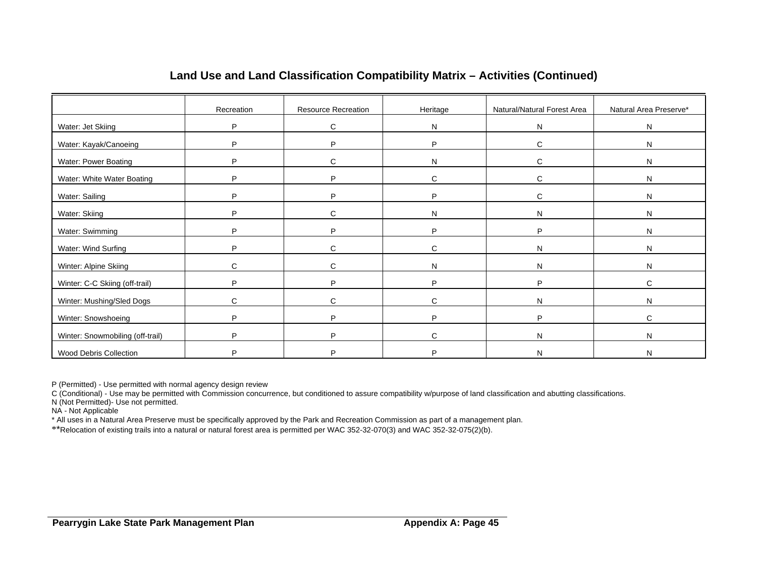|                                  | Recreation | Resource Recreation | Heritage     | Natural/Natural Forest Area | Natural Area Preserve* |
|----------------------------------|------------|---------------------|--------------|-----------------------------|------------------------|
| Water: Jet Skiing                | P          | C                   | N            | N                           | N                      |
| Water: Kayak/Canoeing            | P          | P                   | P            | C                           | N                      |
| Water: Power Boating             | P          | C                   | N            | C                           | N                      |
| Water: White Water Boating       | P          | P                   | C            | C                           | N                      |
| Water: Sailing                   | P          | P                   | P            | C                           | N                      |
| Water: Skiing                    | P          | C                   | N            | N                           | N                      |
| Water: Swimming                  | P          | P                   | P            | P                           | N                      |
| Water: Wind Surfing              | P          | C                   | $\mathsf{C}$ | N                           | N                      |
| Winter: Alpine Skiing            | C          | C                   | N            | N                           | N                      |
| Winter: C-C Skiing (off-trail)   | P          | P                   | P            | P                           | C                      |
| Winter: Mushing/Sled Dogs        | C          | C                   | $\mathbf{C}$ | N                           | N                      |
| Winter: Snowshoeing              | P          | P                   | P            | P                           | C                      |
| Winter: Snowmobiling (off-trail) | P          | P                   | $\mathsf{C}$ | N                           | N                      |
| Wood Debris Collection           | Þ          | D                   | D            | N                           | N                      |

# **Land Use and Land Classification Compatibility Matrix – Activities (Continued)**

P (Permitted) - Use permitted with normal agency design review

C (Conditional) - Use may be permitted with Commission concurrence, but conditioned to assure compatibility w/purpose of land classification and abutting classifications.

N (Not Permitted)- Use not permitted.

NA - Not Applicable

\* All uses in a Natural Area Preserve must be specifically approved by the Park and Recreation Commission as part of a management plan.

\*\*Relocation of existing trails into a natural or natural forest area is permitted per WAC 352-32-070(3) and WAC 352-32-075(2)(b).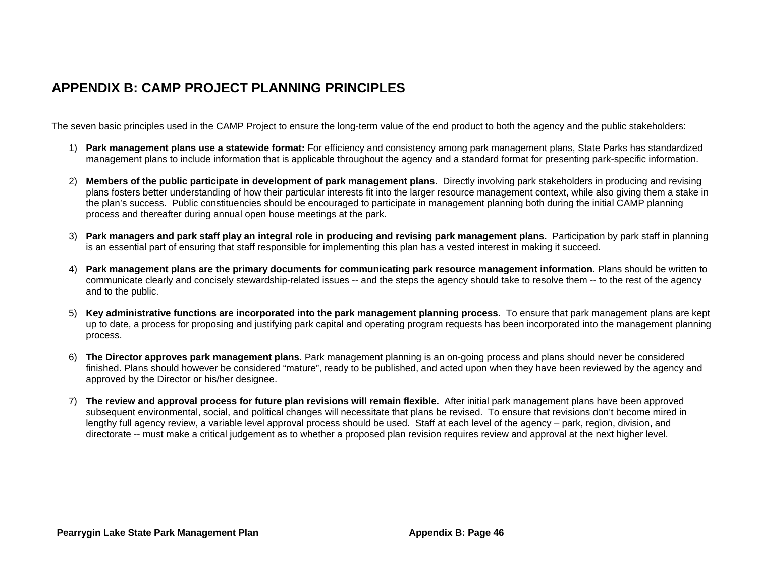# **APPENDIX B: CAMP PROJECT PLANNING PRINCIPLES**

The seven basic principles used in the CAMP Project to ensure the long-term value of the end product to both the agency and the public stakeholders:

- 1) **Park management plans use a statewide format:** For efficiency and consistency among park management plans, State Parks has standardized management plans to include information that is applicable throughout the agency and a standard format for presenting park-specific information.
- 2) **Members of the public participate in development of park management plans.** Directly involving park stakeholders in producing and revising plans fosters better understanding of how their particular interests fit into the larger resource management context, while also giving them a stake in the plan's success. Public constituencies should be encouraged to participate in management planning both during the initial CAMP planning process and thereafter during annual open house meetings at the park.
- 3) **Park managers and park staff play an integral role in producing and revising park management plans.** Participation by park staff in planning is an essential part of ensuring that staff responsible for implementing this plan has a vested interest in making it succeed.
- 4) **Park management plans are the primary documents for communicating park resource management information.** Plans should be written to communicate clearly and concisely stewardship-related issues -- and the steps the agency should take to resolve them -- to the rest of the agency and to the public.
- 5) **Key administrative functions are incorporated into the park management planning process.** To ensure that park management plans are kept up to date, a process for proposing and justifying park capital and operating program requests has been incorporated into the management planning process.
- 6) **The Director approves park management plans.** Park management planning is an on-going process and plans should never be considered finished. Plans should however be considered "mature", ready to be published, and acted upon when they have been reviewed by the agency and approved by the Director or his/her designee.
- <span id="page-45-0"></span>7) **The review and approval process for future plan revisions will remain flexible.** After initial park management plans have been approved subsequent environmental, social, and political changes will necessitate that plans be revised. To ensure that revisions don't become mired in lengthy full agency review, a variable level approval process should be used. Staff at each level of the agency – park, region, division, and directorate -- must make a critical judgement as to whether a proposed plan revision requires review and approval at the next higher level.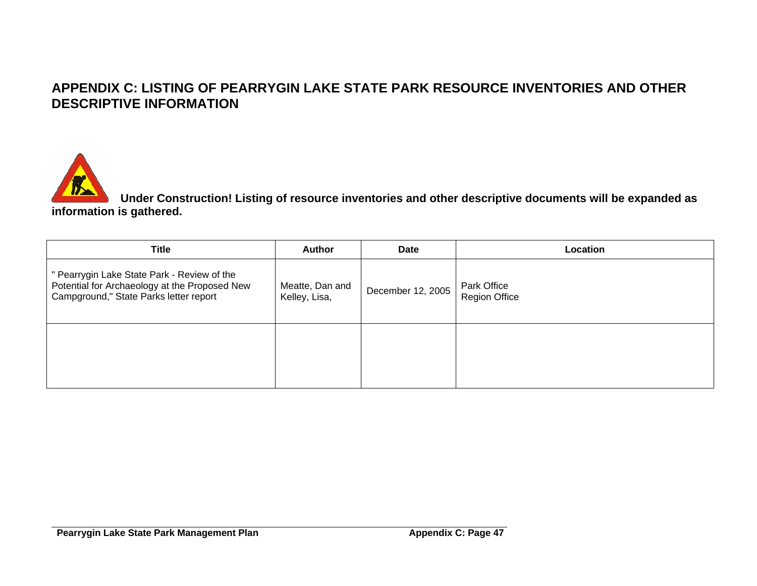# **APPENDIX C: LISTING OF PEARRYGIN LAKE STATE PARK RESOURCE INVENTORIES AND OTHER DESCRIPTIVE INFORMATION**



**Under Construction! Listing of resource inventories and other descriptive documents will be expanded as information is gathered.** 

<span id="page-46-0"></span>

| <b>Title</b>                                                                                                                           | <b>Author</b>                    | <b>Date</b>       | Location                            |
|----------------------------------------------------------------------------------------------------------------------------------------|----------------------------------|-------------------|-------------------------------------|
| " Pearrygin Lake State Park - Review of the<br>Potential for Archaeology at the Proposed New<br>Campground," State Parks letter report | Meatte, Dan and<br>Kelley, Lisa, | December 12, 2005 | Park Office<br><b>Region Office</b> |
|                                                                                                                                        |                                  |                   |                                     |